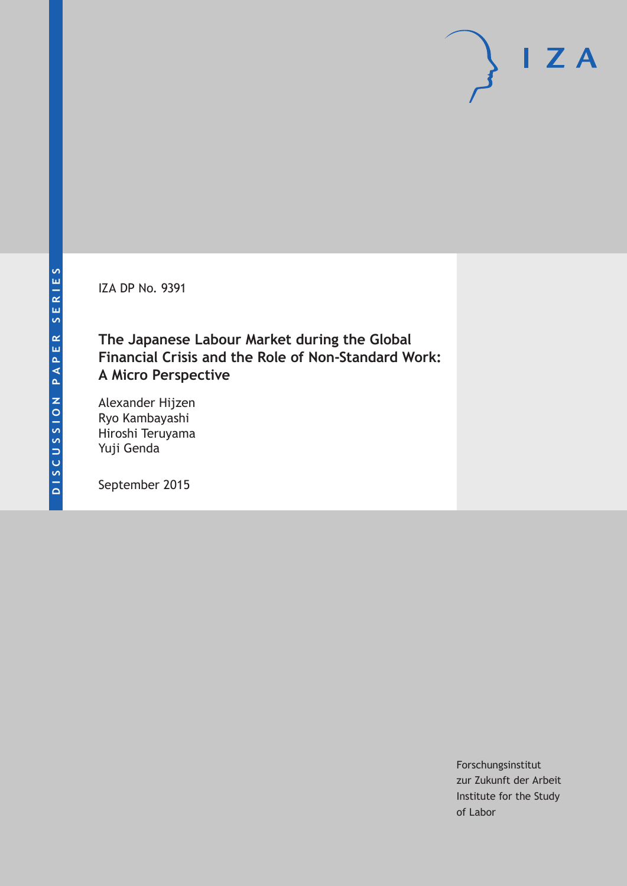IZA DP No. 9391

## **The Japanese Labour Market during the Global Financial Crisis and the Role of Non-Standard Work: A Micro Perspective**

Alexander Hijzen Ryo Kambayashi Hiroshi Teruyama Yuji Genda

September 2015

Forschungsinstitut zur Zukunft der Arbeit Institute for the Study of Labor

 $\mathsf{I}$  Z A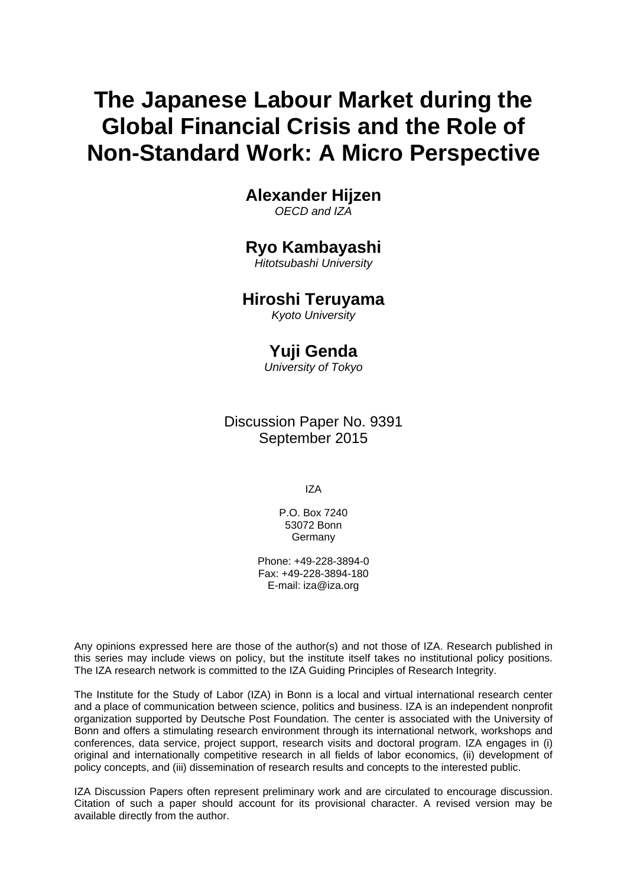# **The Japanese Labour Market during the Global Financial Crisis and the Role of Non-Standard Work: A Micro Perspective**

## **Alexander Hijzen**

*OECD and IZA* 

## **Ryo Kambayashi**

*Hitotsubashi University* 

## **Hiroshi Teruyama**

*Kyoto University*

## **Yuji Genda**

*University of Tokyo* 

Discussion Paper No. 9391 September 2015

IZA

P.O. Box 7240 53072 Bonn Germany

Phone: +49-228-3894-0 Fax: +49-228-3894-180 E-mail: iza@iza.org

Any opinions expressed here are those of the author(s) and not those of IZA. Research published in this series may include views on policy, but the institute itself takes no institutional policy positions. The IZA research network is committed to the IZA Guiding Principles of Research Integrity.

The Institute for the Study of Labor (IZA) in Bonn is a local and virtual international research center and a place of communication between science, politics and business. IZA is an independent nonprofit organization supported by Deutsche Post Foundation. The center is associated with the University of Bonn and offers a stimulating research environment through its international network, workshops and conferences, data service, project support, research visits and doctoral program. IZA engages in (i) original and internationally competitive research in all fields of labor economics, (ii) development of policy concepts, and (iii) dissemination of research results and concepts to the interested public.

IZA Discussion Papers often represent preliminary work and are circulated to encourage discussion. Citation of such a paper should account for its provisional character. A revised version may be available directly from the author.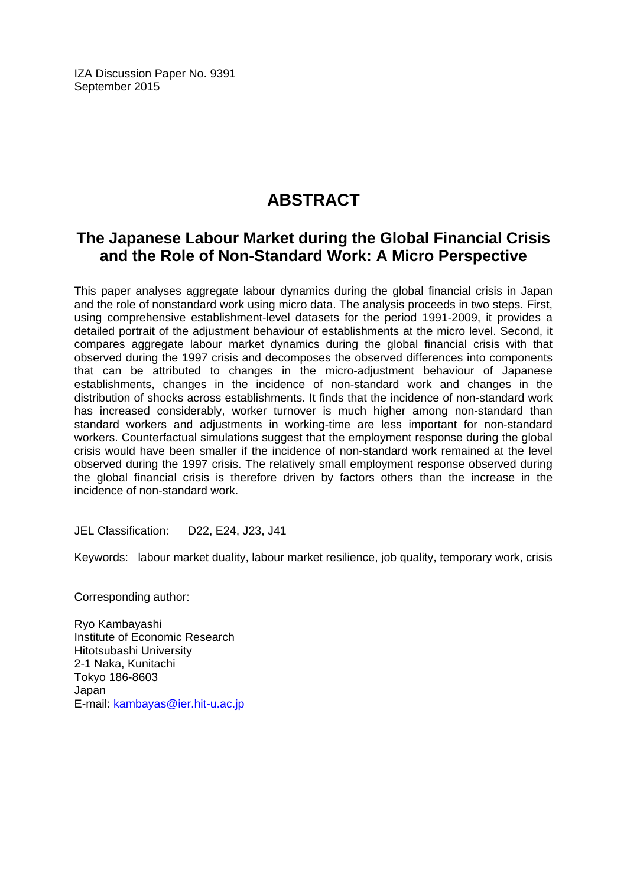IZA Discussion Paper No. 9391 September 2015

## **ABSTRACT**

## **The Japanese Labour Market during the Global Financial Crisis and the Role of Non-Standard Work: A Micro Perspective**

This paper analyses aggregate labour dynamics during the global financial crisis in Japan and the role of nonstandard work using micro data. The analysis proceeds in two steps. First, using comprehensive establishment-level datasets for the period 1991-2009, it provides a detailed portrait of the adjustment behaviour of establishments at the micro level. Second, it compares aggregate labour market dynamics during the global financial crisis with that observed during the 1997 crisis and decomposes the observed differences into components that can be attributed to changes in the micro-adjustment behaviour of Japanese establishments, changes in the incidence of non-standard work and changes in the distribution of shocks across establishments. It finds that the incidence of non-standard work has increased considerably, worker turnover is much higher among non-standard than standard workers and adjustments in working-time are less important for non-standard workers. Counterfactual simulations suggest that the employment response during the global crisis would have been smaller if the incidence of non-standard work remained at the level observed during the 1997 crisis. The relatively small employment response observed during the global financial crisis is therefore driven by factors others than the increase in the incidence of non-standard work.

JEL Classification: D22, E24, J23, J41

Keywords: labour market duality, labour market resilience, job quality, temporary work, crisis

Corresponding author:

Ryo Kambayashi Institute of Economic Research Hitotsubashi University 2-1 Naka, Kunitachi Tokyo 186-8603 Japan E-mail: kambayas@ier.hit-u.ac.jp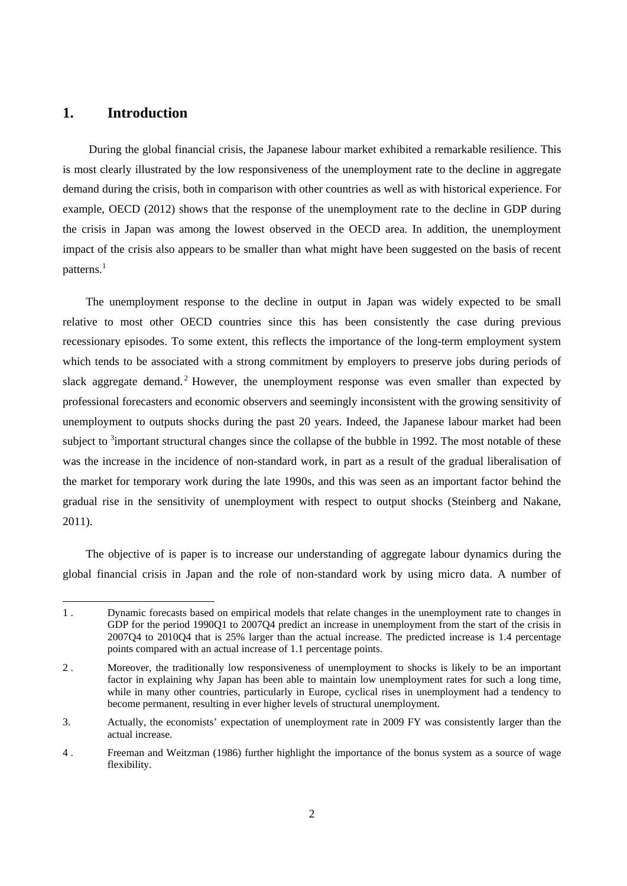## **1. Introduction**

-

 During the global financial crisis, the Japanese labour market exhibited a remarkable resilience. This is most clearly illustrated by the low responsiveness of the unemployment rate to the decline in aggregate demand during the crisis, both in comparison with other countries as well as with historical experience. For example, OECD (2012) shows that the response of the unemployment rate to the decline in GDP during the crisis in Japan was among the lowest observed in the OECD area. In addition, the unemployment impact of the crisis also appears to be smaller than what might have been suggested on the basis of recent patterns. $<sup>1</sup>$ </sup>

The unemployment response to the decline in output in Japan was widely expected to be small relative to most other OECD countries since this has been consistently the case during previous recessionary episodes. To some extent, this reflects the importance of the long-term employment system which tends to be associated with a strong commitment by employers to preserve jobs during periods of slack aggregate demand.<sup>2</sup> However, the unemployment response was even smaller than expected by professional forecasters and economic observers and seemingly inconsistent with the growing sensitivity of unemployment to outputs shocks during the past 20 years. Indeed, the Japanese labour market had been subject to  $3$  important structural changes since the collapse of the bubble in 1992. The most notable of these was the increase in the incidence of non-standard work, in part as a result of the gradual liberalisation of the market for temporary work during the late 1990s, and this was seen as an important factor behind the gradual rise in the sensitivity of unemployment with respect to output shocks (Steinberg and Nakane, 2011).

The objective of is paper is to increase our understanding of aggregate labour dynamics during the global financial crisis in Japan and the role of non-standard work by using micro data. A number of

<sup>1 .</sup> Dynamic forecasts based on empirical models that relate changes in the unemployment rate to changes in GDP for the period 1990Q1 to 2007Q4 predict an increase in unemployment from the start of the crisis in 2007Q4 to 2010Q4 that is 25% larger than the actual increase. The predicted increase is 1.4 percentage points compared with an actual increase of 1.1 percentage points.

<sup>2 .</sup> Moreover, the traditionally low responsiveness of unemployment to shocks is likely to be an important factor in explaining why Japan has been able to maintain low unemployment rates for such a long time, while in many other countries, particularly in Europe, cyclical rises in unemployment had a tendency to become permanent, resulting in ever higher levels of structural unemployment.

<sup>3.</sup> Actually, the economists' expectation of unemployment rate in 2009 FY was consistently larger than the actual increase.

<sup>4 .</sup> Freeman and Weitzman (1986) further highlight the importance of the bonus system as a source of wage flexibility.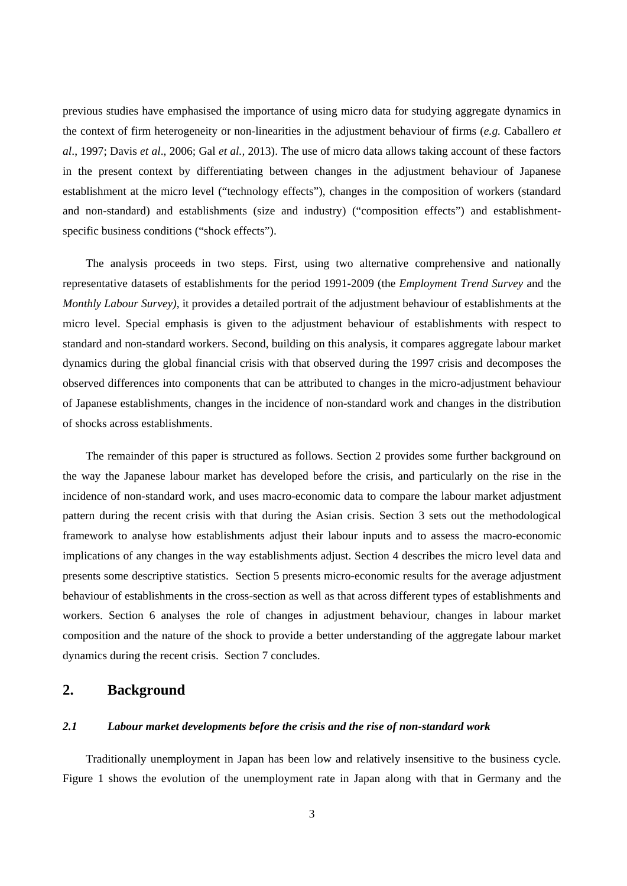previous studies have emphasised the importance of using micro data for studying aggregate dynamics in the context of firm heterogeneity or non-linearities in the adjustment behaviour of firms (*e.g.* Caballero *et al*., 1997; Davis *et al*., 2006; Gal *et al.,* 2013). The use of micro data allows taking account of these factors in the present context by differentiating between changes in the adjustment behaviour of Japanese establishment at the micro level ("technology effects"), changes in the composition of workers (standard and non-standard) and establishments (size and industry) ("composition effects") and establishmentspecific business conditions ("shock effects").

The analysis proceeds in two steps. First, using two alternative comprehensive and nationally representative datasets of establishments for the period 1991-2009 (the *Employment Trend Survey* and the *Monthly Labour Survey)*, it provides a detailed portrait of the adjustment behaviour of establishments at the micro level. Special emphasis is given to the adjustment behaviour of establishments with respect to standard and non-standard workers. Second, building on this analysis, it compares aggregate labour market dynamics during the global financial crisis with that observed during the 1997 crisis and decomposes the observed differences into components that can be attributed to changes in the micro-adjustment behaviour of Japanese establishments, changes in the incidence of non-standard work and changes in the distribution of shocks across establishments.

The remainder of this paper is structured as follows. Section 2 provides some further background on the way the Japanese labour market has developed before the crisis, and particularly on the rise in the incidence of non-standard work, and uses macro-economic data to compare the labour market adjustment pattern during the recent crisis with that during the Asian crisis. Section 3 sets out the methodological framework to analyse how establishments adjust their labour inputs and to assess the macro-economic implications of any changes in the way establishments adjust. Section 4 describes the micro level data and presents some descriptive statistics. Section 5 presents micro-economic results for the average adjustment behaviour of establishments in the cross-section as well as that across different types of establishments and workers. Section 6 analyses the role of changes in adjustment behaviour, changes in labour market composition and the nature of the shock to provide a better understanding of the aggregate labour market dynamics during the recent crisis. Section 7 concludes.

## **2. Background**

### *2.1 Labour market developments before the crisis and the rise of non-standard work*

Traditionally unemployment in Japan has been low and relatively insensitive to the business cycle. Figure 1 shows the evolution of the unemployment rate in Japan along with that in Germany and the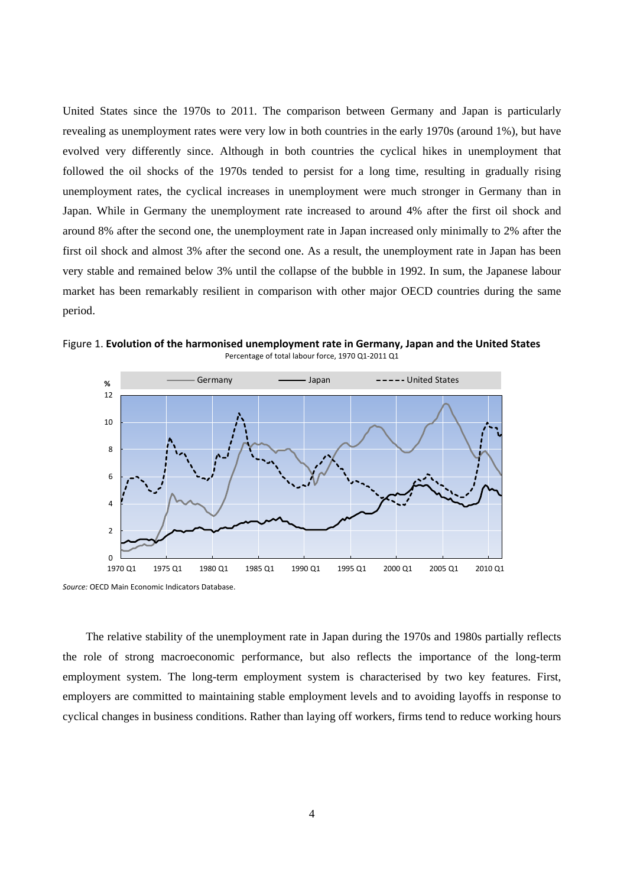United States since the 1970s to 2011. The comparison between Germany and Japan is particularly revealing as unemployment rates were very low in both countries in the early 1970s (around 1%), but have evolved very differently since. Although in both countries the cyclical hikes in unemployment that followed the oil shocks of the 1970s tended to persist for a long time, resulting in gradually rising unemployment rates, the cyclical increases in unemployment were much stronger in Germany than in Japan. While in Germany the unemployment rate increased to around 4% after the first oil shock and around 8% after the second one, the unemployment rate in Japan increased only minimally to 2% after the first oil shock and almost 3% after the second one. As a result, the unemployment rate in Japan has been very stable and remained below 3% until the collapse of the bubble in 1992. In sum, the Japanese labour market has been remarkably resilient in comparison with other major OECD countries during the same period.

Figure 1. **Evolution of the harmonised unemployment rate in Germany, Japan and the United States**  Percentage of total labour force, 1970 Q1‐2011 Q1



*Source:* OECD Main Economic Indicators Database.

The relative stability of the unemployment rate in Japan during the 1970s and 1980s partially reflects the role of strong macroeconomic performance, but also reflects the importance of the long-term employment system. The long-term employment system is characterised by two key features. First, employers are committed to maintaining stable employment levels and to avoiding layoffs in response to cyclical changes in business conditions. Rather than laying off workers, firms tend to reduce working hours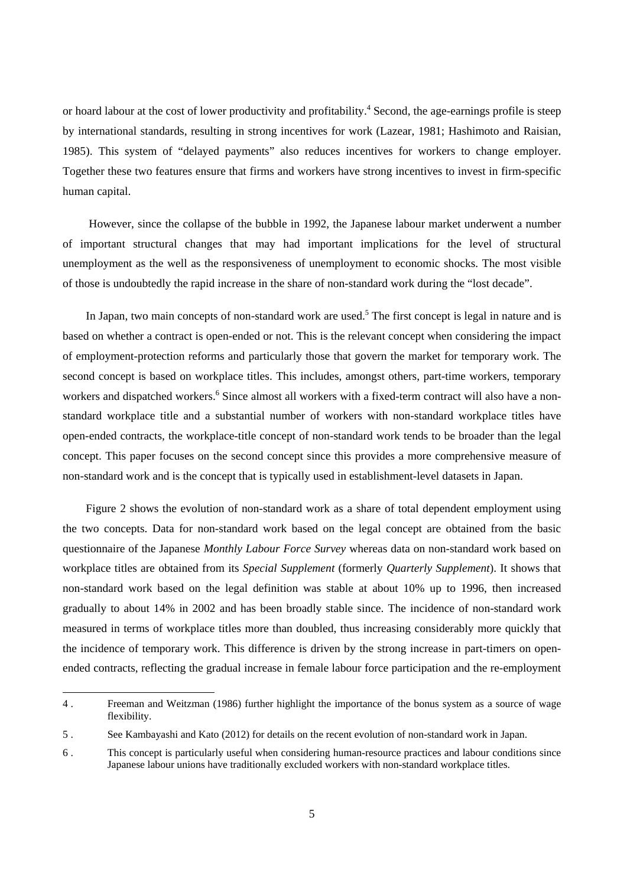or hoard labour at the cost of lower productivity and profitability.<sup>4</sup> Second, the age-earnings profile is steep by international standards, resulting in strong incentives for work (Lazear, 1981; Hashimoto and Raisian, 1985). This system of "delayed payments" also reduces incentives for workers to change employer. Together these two features ensure that firms and workers have strong incentives to invest in firm-specific human capital.

 However, since the collapse of the bubble in 1992, the Japanese labour market underwent a number of important structural changes that may had important implications for the level of structural unemployment as the well as the responsiveness of unemployment to economic shocks. The most visible of those is undoubtedly the rapid increase in the share of non-standard work during the "lost decade".

In Japan, two main concepts of non-standard work are used.<sup>5</sup> The first concept is legal in nature and is based on whether a contract is open-ended or not. This is the relevant concept when considering the impact of employment-protection reforms and particularly those that govern the market for temporary work. The second concept is based on workplace titles. This includes, amongst others, part-time workers, temporary workers and dispatched workers.<sup>6</sup> Since almost all workers with a fixed-term contract will also have a nonstandard workplace title and a substantial number of workers with non-standard workplace titles have open-ended contracts, the workplace-title concept of non-standard work tends to be broader than the legal concept. This paper focuses on the second concept since this provides a more comprehensive measure of non-standard work and is the concept that is typically used in establishment-level datasets in Japan.

Figure 2 shows the evolution of non-standard work as a share of total dependent employment using the two concepts. Data for non-standard work based on the legal concept are obtained from the basic questionnaire of the Japanese *Monthly Labour Force Survey* whereas data on non-standard work based on workplace titles are obtained from its *Special Supplement* (formerly *Quarterly Supplement*). It shows that non-standard work based on the legal definition was stable at about 10% up to 1996, then increased gradually to about 14% in 2002 and has been broadly stable since. The incidence of non-standard work measured in terms of workplace titles more than doubled, thus increasing considerably more quickly that the incidence of temporary work. This difference is driven by the strong increase in part-timers on openended contracts, reflecting the gradual increase in female labour force participation and the re-employment

<sup>4 .</sup> Freeman and Weitzman (1986) further highlight the importance of the bonus system as a source of wage flexibility.

<sup>5 .</sup> See Kambayashi and Kato (2012) for details on the recent evolution of non-standard work in Japan.

<sup>6 .</sup> This concept is particularly useful when considering human-resource practices and labour conditions since Japanese labour unions have traditionally excluded workers with non-standard workplace titles.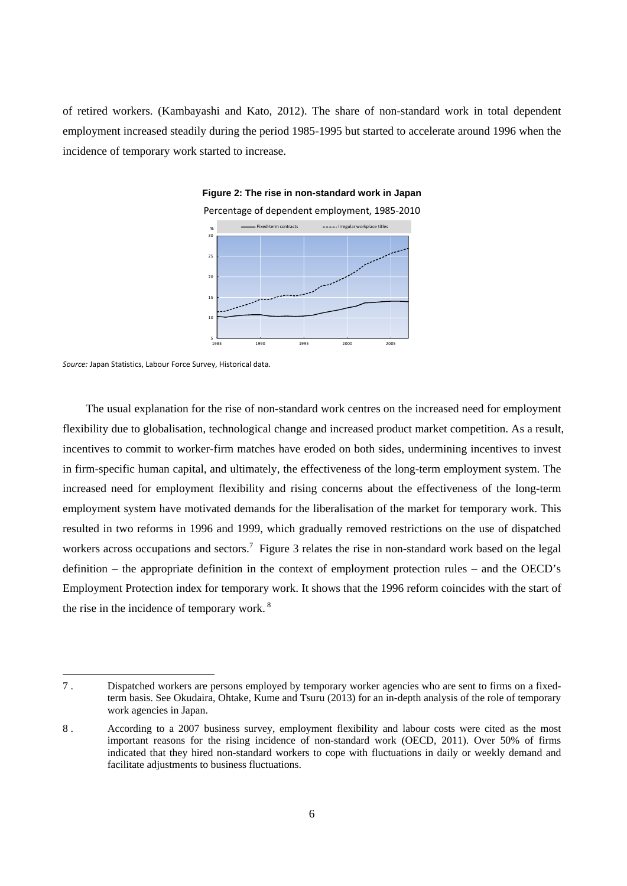of retired workers. (Kambayashi and Kato, 2012). The share of non-standard work in total dependent employment increased steadily during the period 1985-1995 but started to accelerate around 1996 when the incidence of temporary work started to increase.



*Source:* Japan Statistics, Labour Force Survey, Historical data.

1

The usual explanation for the rise of non-standard work centres on the increased need for employment flexibility due to globalisation, technological change and increased product market competition. As a result, incentives to commit to worker-firm matches have eroded on both sides, undermining incentives to invest in firm-specific human capital, and ultimately, the effectiveness of the long-term employment system. The increased need for employment flexibility and rising concerns about the effectiveness of the long-term employment system have motivated demands for the liberalisation of the market for temporary work. This resulted in two reforms in 1996 and 1999, which gradually removed restrictions on the use of dispatched workers across occupations and sectors.<sup>7</sup> Figure 3 relates the rise in non-standard work based on the legal definition – the appropriate definition in the context of employment protection rules – and the OECD's Employment Protection index for temporary work. It shows that the 1996 reform coincides with the start of the rise in the incidence of temporary work. $8$ 

<sup>7 .</sup> Dispatched workers are persons employed by temporary worker agencies who are sent to firms on a fixedterm basis. See Okudaira, Ohtake, Kume and Tsuru (2013) for an in-depth analysis of the role of temporary work agencies in Japan.

<sup>8 .</sup> According to a 2007 business survey, employment flexibility and labour costs were cited as the most important reasons for the rising incidence of non-standard work (OECD, 2011). Over 50% of firms indicated that they hired non-standard workers to cope with fluctuations in daily or weekly demand and facilitate adjustments to business fluctuations.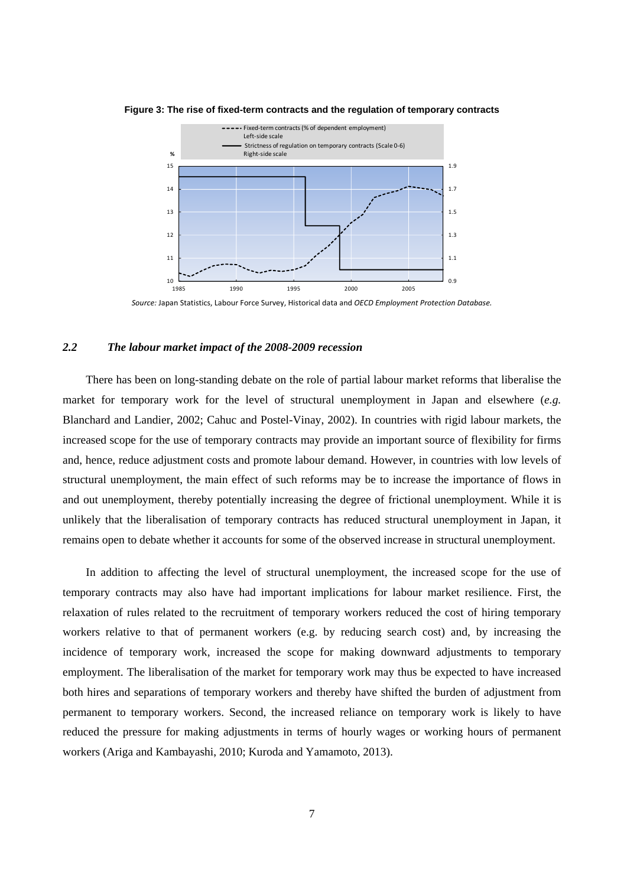

**Figure 3: The rise of fixed-term contracts and the regulation of temporary contracts** 

*Source:* Japan Statistics, Labour Force Survey, Historical data and *OECD Employment Protection Database.*

#### *2.2 The labour market impact of the 2008-2009 recession*

There has been on long-standing debate on the role of partial labour market reforms that liberalise the market for temporary work for the level of structural unemployment in Japan and elsewhere (*e.g.* Blanchard and Landier, 2002; Cahuc and Postel-Vinay, 2002). In countries with rigid labour markets, the increased scope for the use of temporary contracts may provide an important source of flexibility for firms and, hence, reduce adjustment costs and promote labour demand. However, in countries with low levels of structural unemployment, the main effect of such reforms may be to increase the importance of flows in and out unemployment, thereby potentially increasing the degree of frictional unemployment. While it is unlikely that the liberalisation of temporary contracts has reduced structural unemployment in Japan, it remains open to debate whether it accounts for some of the observed increase in structural unemployment.

In addition to affecting the level of structural unemployment, the increased scope for the use of temporary contracts may also have had important implications for labour market resilience. First, the relaxation of rules related to the recruitment of temporary workers reduced the cost of hiring temporary workers relative to that of permanent workers (e.g. by reducing search cost) and, by increasing the incidence of temporary work, increased the scope for making downward adjustments to temporary employment. The liberalisation of the market for temporary work may thus be expected to have increased both hires and separations of temporary workers and thereby have shifted the burden of adjustment from permanent to temporary workers. Second, the increased reliance on temporary work is likely to have reduced the pressure for making adjustments in terms of hourly wages or working hours of permanent workers (Ariga and Kambayashi, 2010; Kuroda and Yamamoto, 2013).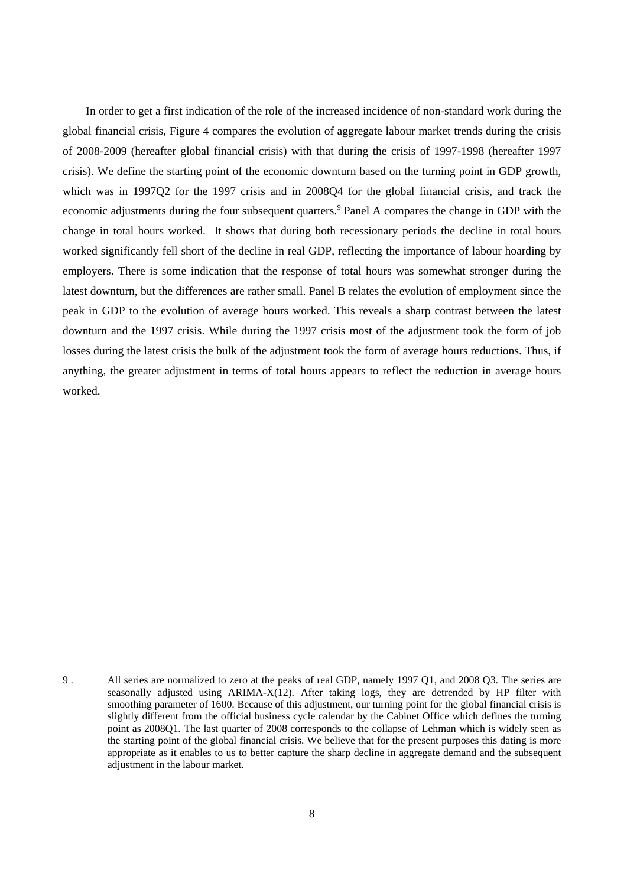In order to get a first indication of the role of the increased incidence of non-standard work during the global financial crisis, Figure 4 compares the evolution of aggregate labour market trends during the crisis of 2008-2009 (hereafter global financial crisis) with that during the crisis of 1997-1998 (hereafter 1997 crisis). We define the starting point of the economic downturn based on the turning point in GDP growth, which was in 1997Q2 for the 1997 crisis and in 2008Q4 for the global financial crisis, and track the economic adjustments during the four subsequent quarters.<sup>9</sup> Panel A compares the change in GDP with the change in total hours worked. It shows that during both recessionary periods the decline in total hours worked significantly fell short of the decline in real GDP, reflecting the importance of labour hoarding by employers. There is some indication that the response of total hours was somewhat stronger during the latest downturn, but the differences are rather small. Panel B relates the evolution of employment since the peak in GDP to the evolution of average hours worked. This reveals a sharp contrast between the latest downturn and the 1997 crisis. While during the 1997 crisis most of the adjustment took the form of job losses during the latest crisis the bulk of the adjustment took the form of average hours reductions. Thus, if anything, the greater adjustment in terms of total hours appears to reflect the reduction in average hours worked.

<sup>9 .</sup> All series are normalized to zero at the peaks of real GDP, namely 1997 Q1, and 2008 Q3. The series are seasonally adjusted using ARIMA-X(12). After taking logs, they are detrended by HP filter with smoothing parameter of 1600. Because of this adjustment, our turning point for the global financial crisis is slightly different from the official business cycle calendar by the Cabinet Office which defines the turning point as 2008Q1. The last quarter of 2008 corresponds to the collapse of Lehman which is widely seen as the starting point of the global financial crisis. We believe that for the present purposes this dating is more appropriate as it enables to us to better capture the sharp decline in aggregate demand and the subsequent adjustment in the labour market.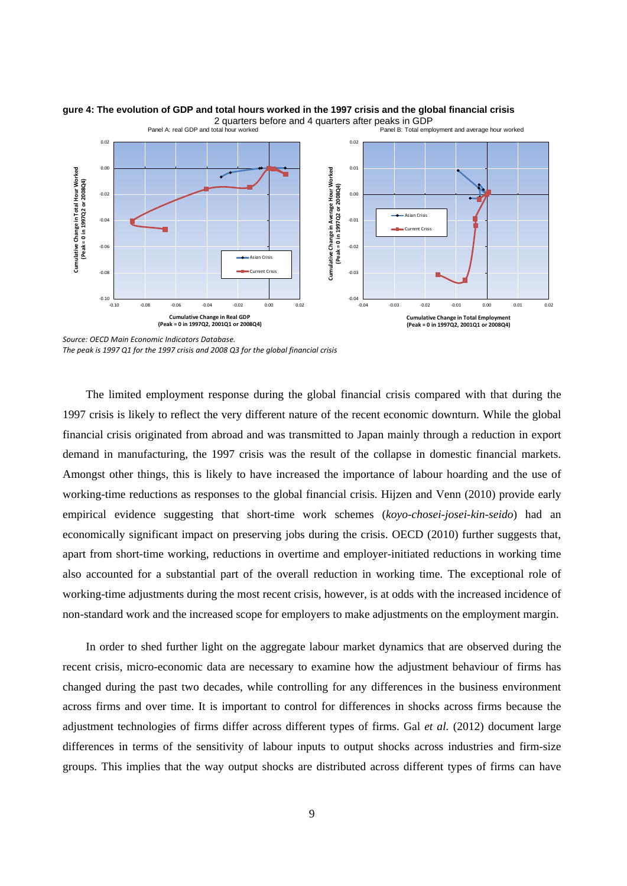

## **gure 4: The evolution of GDP and total hours worked in the 1997 crisis and the global financial crisis**

*Source: OECD Main Economic Indicators Database. The peak is 1997 Q1 for the 1997 crisis and 2008 Q3 for the global financial crisis*

The limited employment response during the global financial crisis compared with that during the 1997 crisis is likely to reflect the very different nature of the recent economic downturn. While the global financial crisis originated from abroad and was transmitted to Japan mainly through a reduction in export demand in manufacturing, the 1997 crisis was the result of the collapse in domestic financial markets. Amongst other things, this is likely to have increased the importance of labour hoarding and the use of working-time reductions as responses to the global financial crisis. Hijzen and Venn (2010) provide early empirical evidence suggesting that short-time work schemes (*koyo-chosei-josei-kin-seido*) had an economically significant impact on preserving jobs during the crisis. OECD (2010) further suggests that, apart from short-time working, reductions in overtime and employer-initiated reductions in working time also accounted for a substantial part of the overall reduction in working time. The exceptional role of working-time adjustments during the most recent crisis, however, is at odds with the increased incidence of non-standard work and the increased scope for employers to make adjustments on the employment margin.

In order to shed further light on the aggregate labour market dynamics that are observed during the recent crisis, micro-economic data are necessary to examine how the adjustment behaviour of firms has changed during the past two decades, while controlling for any differences in the business environment across firms and over time. It is important to control for differences in shocks across firms because the adjustment technologies of firms differ across different types of firms. Gal *et al.* (2012) document large differences in terms of the sensitivity of labour inputs to output shocks across industries and firm-size groups. This implies that the way output shocks are distributed across different types of firms can have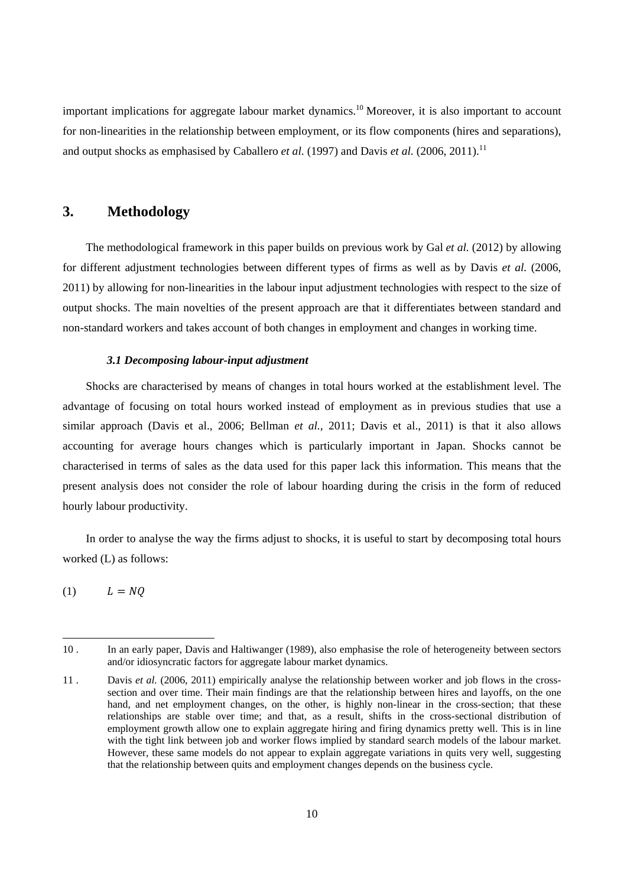important implications for aggregate labour market dynamics.10 Moreover, it is also important to account for non-linearities in the relationship between employment, or its flow components (hires and separations), and output shocks as emphasised by Caballero *et al.* (1997) and Davis *et al.* (2006, 2011).<sup>11</sup>

### **3. Methodology**

The methodological framework in this paper builds on previous work by Gal *et al.* (2012) by allowing for different adjustment technologies between different types of firms as well as by Davis *et al.* (2006, 2011) by allowing for non-linearities in the labour input adjustment technologies with respect to the size of output shocks. The main novelties of the present approach are that it differentiates between standard and non-standard workers and takes account of both changes in employment and changes in working time.

#### *3.1 Decomposing labour-input adjustment*

Shocks are characterised by means of changes in total hours worked at the establishment level. The advantage of focusing on total hours worked instead of employment as in previous studies that use a similar approach (Davis et al., 2006; Bellman *et al.,* 2011; Davis et al., 2011) is that it also allows accounting for average hours changes which is particularly important in Japan. Shocks cannot be characterised in terms of sales as the data used for this paper lack this information. This means that the present analysis does not consider the role of labour hoarding during the crisis in the form of reduced hourly labour productivity.

In order to analyse the way the firms adjust to shocks, it is useful to start by decomposing total hours worked (L) as follows:

 $(L = NO$ 

<sup>10 .</sup> In an early paper, Davis and Haltiwanger (1989), also emphasise the role of heterogeneity between sectors and/or idiosyncratic factors for aggregate labour market dynamics.

<sup>11 .</sup> Davis *et al.* (2006, 2011) empirically analyse the relationship between worker and job flows in the crosssection and over time. Their main findings are that the relationship between hires and layoffs, on the one hand, and net employment changes, on the other, is highly non-linear in the cross-section; that these relationships are stable over time; and that, as a result, shifts in the cross-sectional distribution of employment growth allow one to explain aggregate hiring and firing dynamics pretty well. This is in line with the tight link between job and worker flows implied by standard search models of the labour market. However, these same models do not appear to explain aggregate variations in quits very well, suggesting that the relationship between quits and employment changes depends on the business cycle.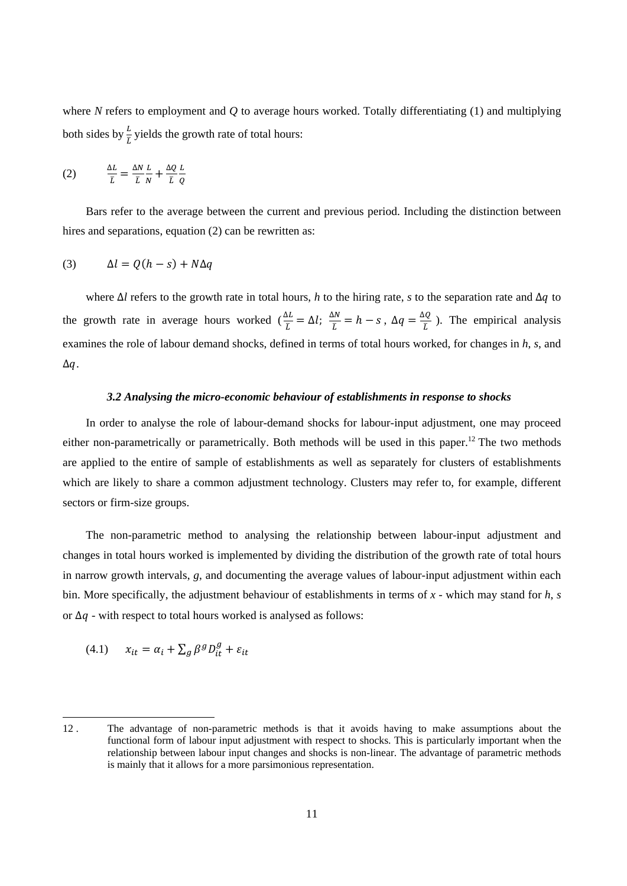where *N* refers to employment and *Q* to average hours worked. Totally differentiating (1) and multiplying both sides by  $\frac{L}{L}$  yields the growth rate of total hours:

$$
(2) \qquad \frac{\Delta L}{\bar{L}} = \frac{\Delta N}{\bar{L}} \frac{L}{N} + \frac{\Delta Q}{\bar{L}} \frac{L}{Q}
$$

Bars refer to the average between the current and previous period. Including the distinction between hires and separations, equation (2) can be rewritten as:

$$
(3) \qquad \Delta l = Q(h - s) + N\Delta q
$$

where ∆*l* refers to the growth rate in total hours, *h* to the hiring rate, *s* to the separation rate and ∆ݍ to the growth rate in average hours worked  $(\frac{\Delta L}{\overline{L}} = \Delta l; \frac{\Delta N}{\overline{L}} = h - s$ ,  $\Delta q = \frac{\Delta Q}{\overline{L}}$ ). The empirical analysis examines the role of labour demand shocks, defined in terms of total hours worked, for changes in *h*, *s*, and  $\Delta a$ .

#### *3.2 Analysing the micro-economic behaviour of establishments in response to shocks*

In order to analyse the role of labour-demand shocks for labour-input adjustment, one may proceed either non-parametrically or parametrically. Both methods will be used in this paper.<sup>12</sup> The two methods are applied to the entire of sample of establishments as well as separately for clusters of establishments which are likely to share a common adjustment technology. Clusters may refer to, for example, different sectors or firm-size groups.

The non-parametric method to analysing the relationship between labour-input adjustment and changes in total hours worked is implemented by dividing the distribution of the growth rate of total hours in narrow growth intervals, *g*, and documenting the average values of labour-input adjustment within each bin. More specifically, the adjustment behaviour of establishments in terms of *x* - which may stand for *h*, *s* or  $\Delta q$  - with respect to total hours worked is analysed as follows:

$$
(4.1) \t x_{it} = \alpha_i + \sum_{g} \beta^g D_{it}^g + \varepsilon_{it}
$$

<sup>12 .</sup> The advantage of non-parametric methods is that it avoids having to make assumptions about the functional form of labour input adjustment with respect to shocks. This is particularly important when the relationship between labour input changes and shocks is non-linear. The advantage of parametric methods is mainly that it allows for a more parsimonious representation.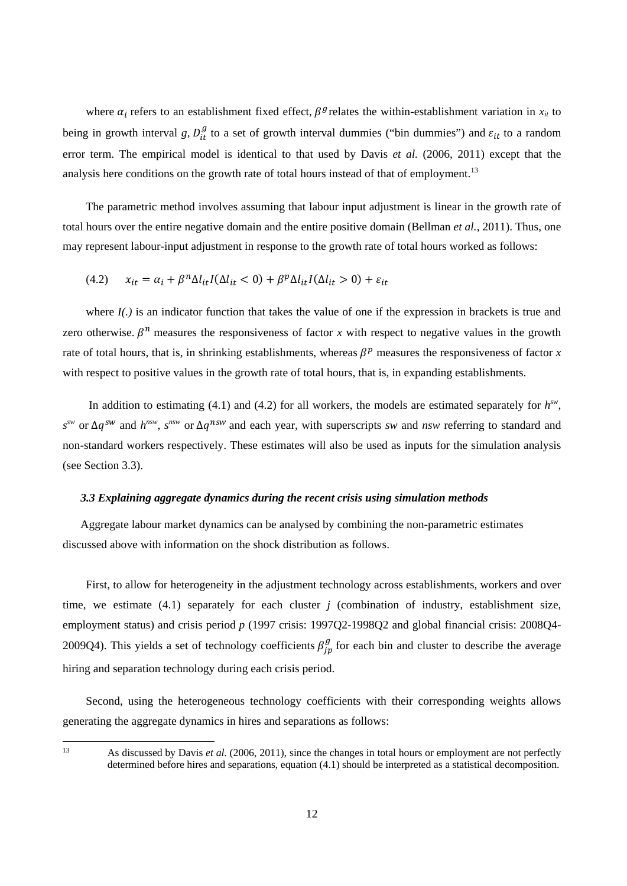where  $\alpha_i$  refers to an establishment fixed effect,  $\beta^g$  relates the within-establishment variation in  $x_{it}$  to being in growth interval *g*,  $D_{it}^g$  to a set of growth interval dummies ("bin dummies") and  $\varepsilon_{it}$  to a random error term. The empirical model is identical to that used by Davis *et al.* (2006, 2011) except that the analysis here conditions on the growth rate of total hours instead of that of employment.<sup>13</sup>

The parametric method involves assuming that labour input adjustment is linear in the growth rate of total hours over the entire negative domain and the entire positive domain (Bellman *et al.*, 2011). Thus, one may represent labour-input adjustment in response to the growth rate of total hours worked as follows:

$$
(4.2) \qquad x_{it} = \alpha_i + \beta^n \Delta l_{it} I(\Delta l_{it} < 0) + \beta^p \Delta l_{it} I(\Delta l_{it} > 0) + \varepsilon_{it}
$$

where *I(.)* is an indicator function that takes the value of one if the expression in brackets is true and zero otherwise.  $\beta^n$  measures the responsiveness of factor *x* with respect to negative values in the growth rate of total hours, that is, in shrinking establishments, whereas  $\beta^p$  measures the responsiveness of factor *x* with respect to positive values in the growth rate of total hours, that is, in expanding establishments.

 In addition to estimating (4.1) and (4.2) for all workers, the models are estimated separately for *hsw*, *s*<sup>*sw</sup>* or  $\Delta q^{sw}$  and *h<sup>nsw</sup>*, *s*<sup>*nsw*</sup> or  $\Delta q^{nsw}$  and each year, with superscripts *sw* and *nsw* referring to standard and</sup> non-standard workers respectively. These estimates will also be used as inputs for the simulation analysis (see Section 3.3).

#### *3.3 Explaining aggregate dynamics during the recent crisis using simulation methods*

Aggregate labour market dynamics can be analysed by combining the non-parametric estimates discussed above with information on the shock distribution as follows.

First, to allow for heterogeneity in the adjustment technology across establishments, workers and over time, we estimate (4.1) separately for each cluster *j* (combination of industry, establishment size, employment status) and crisis period *p* (1997 crisis: 1997Q2-1998Q2 and global financial crisis: 2008Q4- 2009Q4). This yields a set of technology coefficients  $\beta_{jp}^g$  for each bin and cluster to describe the average hiring and separation technology during each crisis period.

Second, using the heterogeneous technology coefficients with their corresponding weights allows generating the aggregate dynamics in hires and separations as follows:

<sup>13</sup> As discussed by Davis *et al*. (2006, 2011), since the changes in total hours or employment are not perfectly determined before hires and separations, equation (4.1) should be interpreted as a statistical decomposition.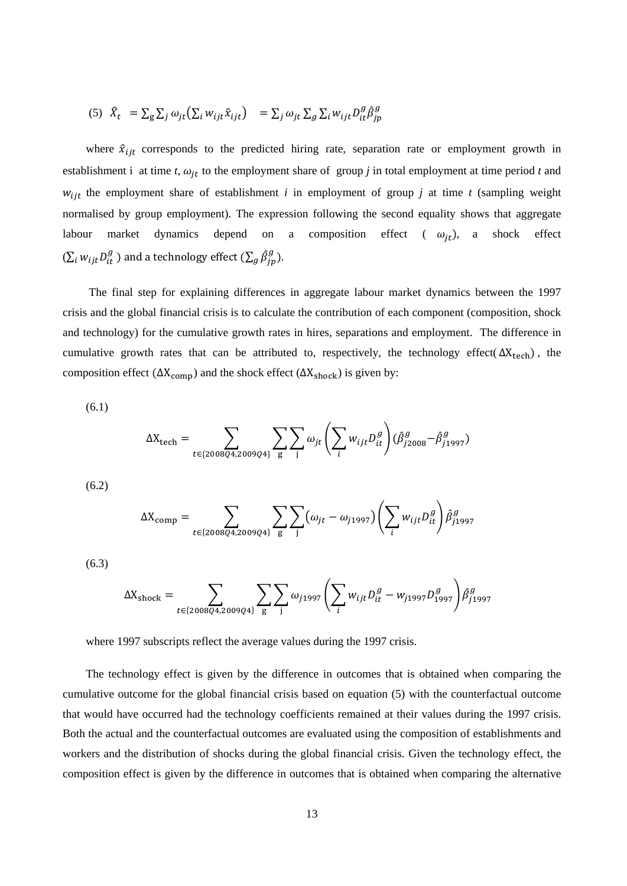(5) 
$$
\hat{X}_t = \sum_{g} \sum_{j} \omega_{jt} (\sum_{i} w_{ijt} \hat{x}_{ijt}) = \sum_{j} \omega_{jt} \sum_{g} \sum_{i} w_{ijt} D_{it}^{g} \hat{\beta}_{jp}^{g}
$$

where  $\hat{x}_{ijt}$  corresponds to the predicted hiring rate, separation rate or employment growth in establishment i at time  $t$ ,  $\omega_{jt}$  to the employment share of group *j* in total employment at time period *t* and  $w_{ijt}$  the employment share of establishment *i* in employment of group *j* at time *t* (sampling weight normalised by group employment). The expression following the second equality shows that aggregate labour market dynamics depend on a composition effect  $(\omega_{it})$ , a shock effect  $(\sum_i w_{ijt} D^g_{it})$  and a technology effect  $(\sum_g \hat{\beta}^g_{jp})$  $g\hat{\beta}_{ip}^g$ ).

 The final step for explaining differences in aggregate labour market dynamics between the 1997 crisis and the global financial crisis is to calculate the contribution of each component (composition, shock and technology) for the cumulative growth rates in hires, separations and employment. The difference in cumulative growth rates that can be attributed to, respectively, the technology effect( $\Delta X_{\text{tech}}$ ), the composition effect ( $\Delta X_{\text{comp}}$ ) and the shock effect ( $\Delta X_{\text{shock}}$ ) is given by:

(6.1)

$$
\Delta X_{\text{tech}} = \sum_{t \in \{2008Q4, 2009Q4\}} \sum_{g} \sum_{j} \omega_{jt} \left( \sum_{i} w_{ijt} D_{it}^{g} \right) (\hat{\beta}_{j2008}^{g} - \hat{\beta}_{j1997}^{g})
$$

(6.2)

$$
\Delta X_{\text{comp}} = \sum_{t \in \{2008Q4, 2009Q4\}} \sum_{g} \sum_{j} (\omega_{jt} - \omega_{j1997}) \left( \sum_{i} w_{ijt} D_{it}^{g} \right) \hat{\beta}_{j1997}^{g}
$$

(6.3)

$$
\Delta X_{\rm shock} = \sum_{t \in \{2008Q4, 2009Q4\}} \sum_{g} \sum_{j} \omega_{j1997} \left( \sum_{i} w_{ijt} D_{it}^g - w_{j1997} D_{1997}^g \right) \hat{\beta}_{j1997}^g
$$

where 1997 subscripts reflect the average values during the 1997 crisis.

The technology effect is given by the difference in outcomes that is obtained when comparing the cumulative outcome for the global financial crisis based on equation (5) with the counterfactual outcome that would have occurred had the technology coefficients remained at their values during the 1997 crisis. Both the actual and the counterfactual outcomes are evaluated using the composition of establishments and workers and the distribution of shocks during the global financial crisis. Given the technology effect, the composition effect is given by the difference in outcomes that is obtained when comparing the alternative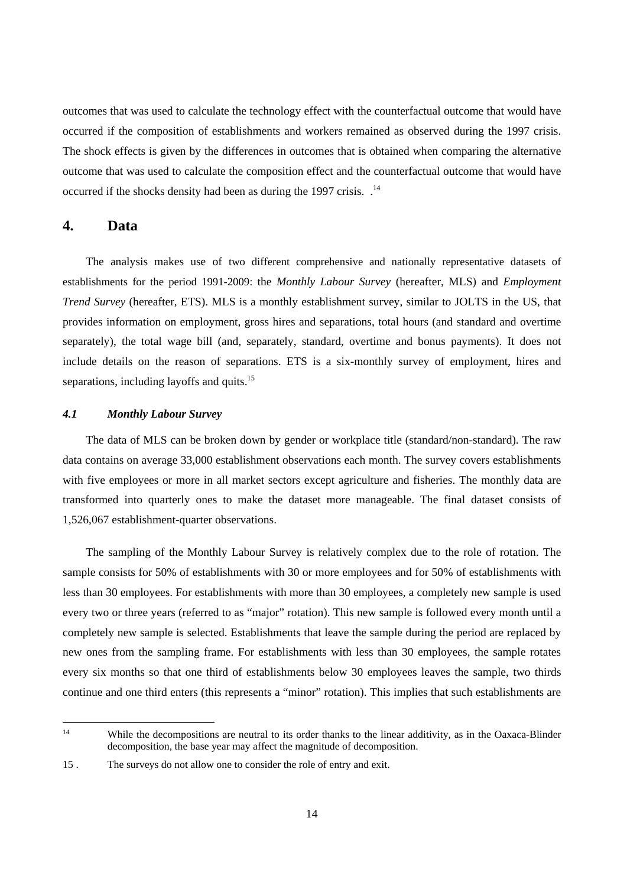outcomes that was used to calculate the technology effect with the counterfactual outcome that would have occurred if the composition of establishments and workers remained as observed during the 1997 crisis. The shock effects is given by the differences in outcomes that is obtained when comparing the alternative outcome that was used to calculate the composition effect and the counterfactual outcome that would have occurred if the shocks density had been as during the 1997 crisis. .<sup>14</sup>

## **4. Data**

The analysis makes use of two different comprehensive and nationally representative datasets of establishments for the period 1991-2009: the *Monthly Labour Survey* (hereafter, MLS) and *Employment Trend Survey* (hereafter, ETS). MLS is a monthly establishment survey, similar to JOLTS in the US, that provides information on employment, gross hires and separations, total hours (and standard and overtime separately), the total wage bill (and, separately, standard, overtime and bonus payments). It does not include details on the reason of separations. ETS is a six-monthly survey of employment, hires and separations, including layoffs and quits.<sup>15</sup>

### *4.1 Monthly Labour Survey*

The data of MLS can be broken down by gender or workplace title (standard/non-standard). The raw data contains on average 33,000 establishment observations each month. The survey covers establishments with five employees or more in all market sectors except agriculture and fisheries. The monthly data are transformed into quarterly ones to make the dataset more manageable. The final dataset consists of 1,526,067 establishment-quarter observations.

The sampling of the Monthly Labour Survey is relatively complex due to the role of rotation. The sample consists for 50% of establishments with 30 or more employees and for 50% of establishments with less than 30 employees. For establishments with more than 30 employees, a completely new sample is used every two or three years (referred to as "major" rotation). This new sample is followed every month until a completely new sample is selected. Establishments that leave the sample during the period are replaced by new ones from the sampling frame. For establishments with less than 30 employees, the sample rotates every six months so that one third of establishments below 30 employees leaves the sample, two thirds continue and one third enters (this represents a "minor" rotation). This implies that such establishments are

 $14$ While the decompositions are neutral to its order thanks to the linear additivity, as in the Oaxaca-Blinder decomposition, the base year may affect the magnitude of decomposition.

<sup>15 .</sup> The surveys do not allow one to consider the role of entry and exit.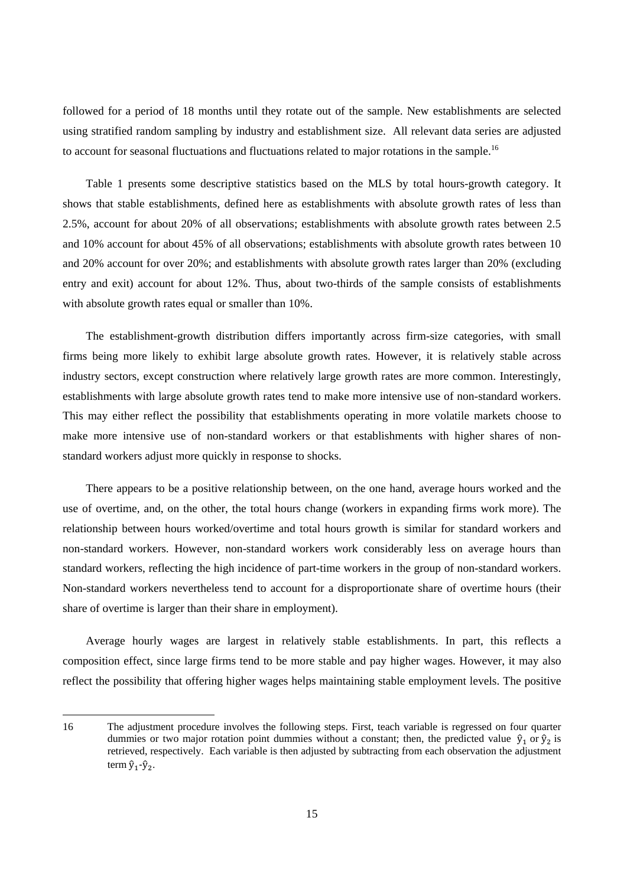followed for a period of 18 months until they rotate out of the sample. New establishments are selected using stratified random sampling by industry and establishment size. All relevant data series are adjusted to account for seasonal fluctuations and fluctuations related to major rotations in the sample.<sup>16</sup>

Table 1 presents some descriptive statistics based on the MLS by total hours-growth category. It shows that stable establishments, defined here as establishments with absolute growth rates of less than 2.5%, account for about 20% of all observations; establishments with absolute growth rates between 2.5 and 10% account for about 45% of all observations; establishments with absolute growth rates between 10 and 20% account for over 20%; and establishments with absolute growth rates larger than 20% (excluding entry and exit) account for about 12%. Thus, about two-thirds of the sample consists of establishments with absolute growth rates equal or smaller than 10%.

The establishment-growth distribution differs importantly across firm-size categories, with small firms being more likely to exhibit large absolute growth rates. However, it is relatively stable across industry sectors, except construction where relatively large growth rates are more common. Interestingly, establishments with large absolute growth rates tend to make more intensive use of non-standard workers. This may either reflect the possibility that establishments operating in more volatile markets choose to make more intensive use of non-standard workers or that establishments with higher shares of nonstandard workers adjust more quickly in response to shocks.

There appears to be a positive relationship between, on the one hand, average hours worked and the use of overtime, and, on the other, the total hours change (workers in expanding firms work more). The relationship between hours worked/overtime and total hours growth is similar for standard workers and non-standard workers. However, non-standard workers work considerably less on average hours than standard workers, reflecting the high incidence of part-time workers in the group of non-standard workers. Non-standard workers nevertheless tend to account for a disproportionate share of overtime hours (their share of overtime is larger than their share in employment).

Average hourly wages are largest in relatively stable establishments. In part, this reflects a composition effect, since large firms tend to be more stable and pay higher wages. However, it may also reflect the possibility that offering higher wages helps maintaining stable employment levels. The positive

<sup>16</sup> The adjustment procedure involves the following steps. First, teach variable is regressed on four quarter dummies or two major rotation point dummies without a constant; then, the predicted value  $\hat{y}_1$  or  $\hat{y}_2$  is retrieved, respectively. Each variable is then adjusted by subtracting from each observation the adjustment term  $\hat{y}_1 - \hat{y}_2$ .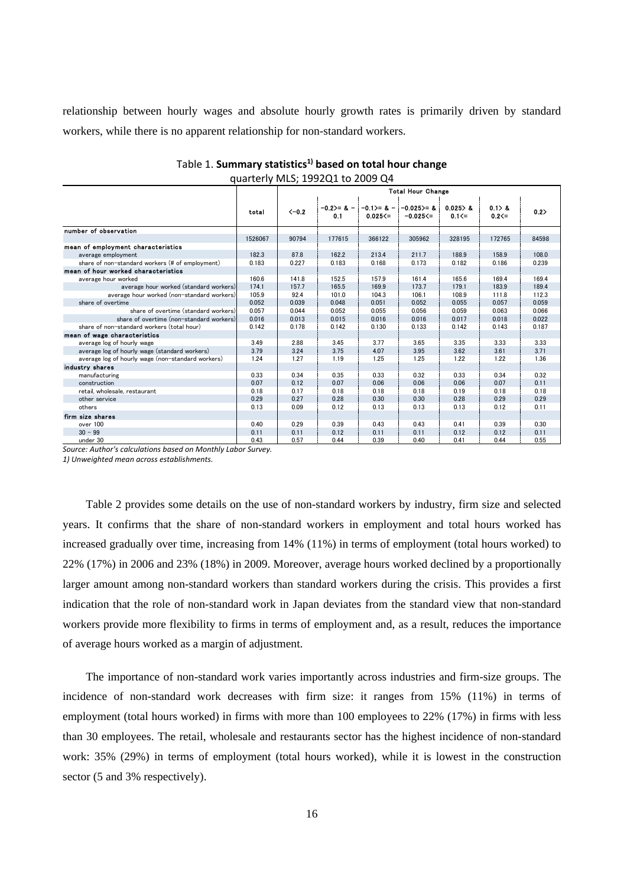relationship between hourly wages and absolute hourly growth rates is primarily driven by standard workers, while there is no apparent relationship for non-standard workers.

|                                                   |         | <b>Total Hour Change</b> |                         |                                  |                                  |                       |                       |       |  |  |  |  |
|---------------------------------------------------|---------|--------------------------|-------------------------|----------------------------------|----------------------------------|-----------------------|-----------------------|-------|--|--|--|--|
|                                                   | total   | $<-0.2$                  | $-0.2$ >= & $-1$<br>0.1 | $-0.1$ ) = $8 -$<br>$0.025 \leq$ | $-0.025$ >= &  <br>$-0.025 \leq$ | $0.025$ &<br>$0.15 =$ | $0.1$ &<br>$0.2 \leq$ | 0.2   |  |  |  |  |
| number of observation                             |         |                          |                         |                                  |                                  |                       |                       |       |  |  |  |  |
|                                                   | 1526067 | 90794                    | 177615                  | 366122                           | 305962                           | 328195                | 172765                | 84598 |  |  |  |  |
| mean of employment characteristics                |         |                          |                         |                                  |                                  |                       |                       |       |  |  |  |  |
| average employment                                | 182.3   | 87.8                     | 162.2                   | 213.4                            | 211.7                            | 188.9                 | 158.9                 | 108.0 |  |  |  |  |
| share of non-standard workers (# of employment)   | 0.183   | 0.227                    | 0.183                   | 0.168                            | 0.173                            | 0.182                 | 0.186                 | 0.239 |  |  |  |  |
| mean of hour worked characteristics               |         |                          |                         |                                  |                                  |                       |                       |       |  |  |  |  |
| average hour worked                               | 160.6   | 141.8                    | 152.5                   | 157.9                            | 161.4                            | 165.6                 | 169.4                 | 169.4 |  |  |  |  |
| average hour worked (standard workers)            | 174.1   | 157.7                    | 165.5                   | 169.9                            | 173.7                            | 179.1                 | 183.9                 | 189.4 |  |  |  |  |
| average hour worked (non-standard workers)        | 105.9   | 92.4                     | 101.0                   | 104.3                            | 106.1                            | 108.9                 | 111.8                 | 112.3 |  |  |  |  |
| share of overtime                                 | 0.052   | 0.039                    | 0.048                   | 0.051                            | 0.052                            | 0.055                 | 0.057                 | 0.059 |  |  |  |  |
| share of overtime (standard workers)              | 0.057   | 0.044                    | 0.052                   | 0.055                            | 0.056                            | 0.059                 | 0.063                 | 0.066 |  |  |  |  |
| share of overtime (non-standard workers)          | 0.016   | 0.013                    | 0.015                   | 0.016                            | 0.016                            | 0.017                 | 0.018                 | 0.022 |  |  |  |  |
| share of non-standard workers (total hour)        | 0.142   | 0.178                    | 0.142                   | 0.130                            | 0.133                            | 0.142                 | 0.143                 | 0.187 |  |  |  |  |
| mean of wage characteristics                      |         |                          |                         |                                  |                                  |                       |                       |       |  |  |  |  |
| average log of hourly wage                        | 3.49    | 2.88                     | 3.45                    | 3.77                             | 3.65                             | 3.35                  | 3.33                  | 3.33  |  |  |  |  |
| average log of hourly wage (standard workers)     | 3.79    | 3.24                     | 3.75                    | 4.07                             | 3.95                             | 3.62                  | 3.61                  | 3.71  |  |  |  |  |
| average log of hourly wage (non-standard workers) | 1.24    | 1.27                     | 1.19                    | 1.25                             | 1.25                             | 1.22                  | 1.22                  | 1.36  |  |  |  |  |
| industry shares                                   |         |                          |                         |                                  |                                  |                       |                       |       |  |  |  |  |
| manufacturing                                     | 0.33    | 0.34                     | 0.35                    | 0.33                             | 0.32                             | 0.33                  | 0.34                  | 0.32  |  |  |  |  |
| construction                                      | 0.07    | 0.12                     | 0.07                    | 0.06                             | 0.06                             | 0.06                  | 0.07                  | 0.11  |  |  |  |  |
| retail, wholesale, restaurant                     | 0.18    | 0.17                     | 0.18                    | 0.18                             | 0.18                             | 0.19                  | 0.18                  | 0.18  |  |  |  |  |
| other service                                     | 0.29    | 0.27                     | 0.28                    | 0.30                             | 0.30                             | 0.28                  | 0.29                  | 0.29  |  |  |  |  |
| others                                            | 0.13    | 0.09                     | 0.12                    | 0.13                             | 0.13                             | 0.13                  | 0.12                  | 0.11  |  |  |  |  |
| firm size shares                                  |         |                          |                         |                                  |                                  |                       |                       |       |  |  |  |  |
| over 100                                          | 0.40    | 0.29                     | 0.39                    | 0.43                             | 0.43                             | 0.41                  | 0.39                  | 0.30  |  |  |  |  |
| $30 - 99$                                         | 0.11    | 0.11                     | 0.12                    | 0.11                             | 0.11                             | 0.12                  | 0.12                  | 0.11  |  |  |  |  |
| under 30                                          | 0.43    | 0.57                     | 0.44                    | 0.39                             | 0.40                             | 0.41                  | 0.44                  | 0.55  |  |  |  |  |

| Table 1. Summary statistics <sup>1)</sup> based on total hour change |
|----------------------------------------------------------------------|
| quarterly MLS; 1992Q1 to 2009 Q4                                     |

*Source: Author's calculations based on Monthly Labor Survey.*

*1) Unweighted mean across establishments.*

Table 2 provides some details on the use of non-standard workers by industry, firm size and selected years. It confirms that the share of non-standard workers in employment and total hours worked has increased gradually over time, increasing from 14% (11%) in terms of employment (total hours worked) to 22% (17%) in 2006 and 23% (18%) in 2009. Moreover, average hours worked declined by a proportionally larger amount among non-standard workers than standard workers during the crisis. This provides a first indication that the role of non-standard work in Japan deviates from the standard view that non-standard workers provide more flexibility to firms in terms of employment and, as a result, reduces the importance of average hours worked as a margin of adjustment.

The importance of non-standard work varies importantly across industries and firm-size groups. The incidence of non-standard work decreases with firm size: it ranges from 15% (11%) in terms of employment (total hours worked) in firms with more than 100 employees to 22% (17%) in firms with less than 30 employees. The retail, wholesale and restaurants sector has the highest incidence of non-standard work: 35% (29%) in terms of employment (total hours worked), while it is lowest in the construction sector (5 and 3% respectively).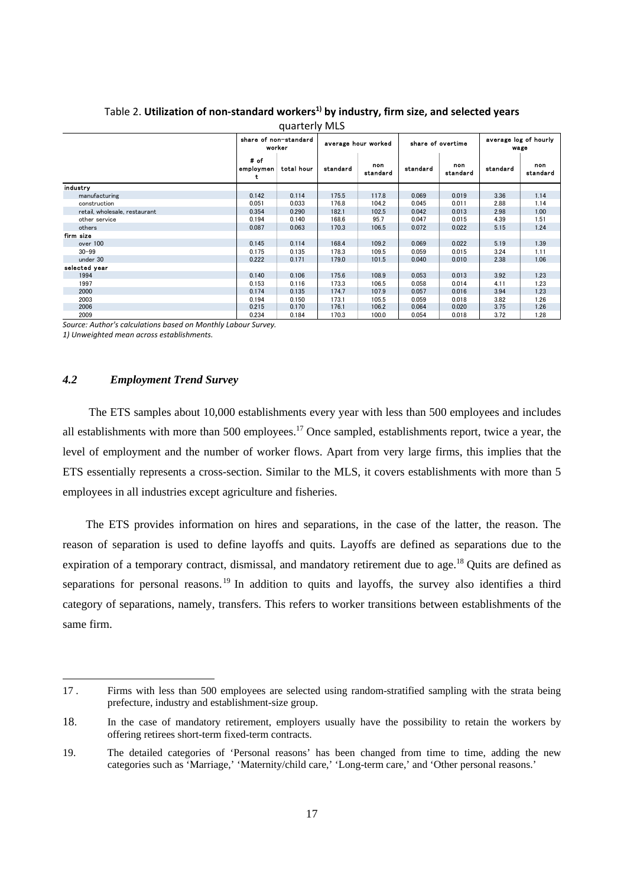|                               |                        | . .<br>share of non-standard |          |                     |                   |                 | average log of hourly |                 |  |
|-------------------------------|------------------------|------------------------------|----------|---------------------|-------------------|-----------------|-----------------------|-----------------|--|
|                               |                        | worker                       |          | average hour worked | share of overtime |                 | wage                  |                 |  |
|                               | # of<br>employmen<br>t | total hour                   | standard | non<br>standard     | standard          | non<br>standard | standard              | non<br>standard |  |
| industry                      |                        |                              |          |                     |                   |                 |                       |                 |  |
| manufacturing                 | 0.142                  | 0.114                        | 175.5    | 117.8               | 0.069             | 0.019           | 3.36                  | 1.14            |  |
| construction                  | 0.051                  | 0.033                        | 176.8    | 104.2               | 0.045             | 0.011           | 2.88                  | 1.14            |  |
| retail, wholesale, restaurant | 0.354                  | 0.290                        | 182.1    | 102.5               | 0.042             | 0.013           | 2.98                  | 1.00            |  |
| other service                 | 0.194                  | 0.140                        | 168.6    | 95.7                | 0.047             | 0.015           | 4.39                  | 1.51            |  |
| others                        | 0.087                  | 0.063                        | 170.3    | 106.5               | 0.072             | 0.022           | 5.15                  | 1.24            |  |
| firm size                     |                        |                              |          |                     |                   |                 |                       |                 |  |
| over 100                      | 0.145                  | 0.114                        | 168.4    | 109.2               | 0.069             | 0.022           | 5.19                  | 1.39            |  |
| $30 - 99$                     | 0.175                  | 0.135                        | 178.3    | 109.5               | 0.059             | 0.015           | 3.24                  | 1.11            |  |
| under 30                      | 0.222                  | 0.171                        | 179.0    | 101.5               | 0.040             | 0.010           | 2.38                  | 1.06            |  |
| selected year                 |                        |                              |          |                     |                   |                 |                       |                 |  |
| 1994                          | 0.140                  | 0.106                        | 175.6    | 108.9               | 0.053             | 0.013           | 3.92                  | 1.23            |  |
| 1997                          | 0.153                  | 0.116                        | 173.3    | 106.5               | 0.058             | 0.014           | 4.11                  | 1.23            |  |
| 2000                          | 0.174                  | 0.135                        | 174.7    | 107.9               | 0.057             | 0.016           | 3.94                  | 1.23            |  |
| 2003                          | 0.194                  | 0.150                        | 173.1    | 105.5               | 0.059             | 0.018           | 3.82                  | 1.26            |  |
| 2006                          | 0.215                  | 0.170                        | 176.1    | 106.2               | 0.064             | 0.020           | 3.75                  | 1.26            |  |
| 2009                          | 0.234                  | 0.184                        | 170.3    | 100.0               | 0.054             | 0.018           | 3.72                  | 1.28            |  |

### Table 2. **Utilization of non‐standard workers1) by industry, firm size, and selected years**  quarterly MLS

*Source: Author's calculations based on Monthly Labour Survey.*

*1) Unweighted mean across establishments.*

1

#### *4.2 Employment Trend Survey*

 The ETS samples about 10,000 establishments every year with less than 500 employees and includes all establishments with more than 500 employees.<sup>17</sup> Once sampled, establishments report, twice a year, the level of employment and the number of worker flows. Apart from very large firms, this implies that the ETS essentially represents a cross-section. Similar to the MLS, it covers establishments with more than 5 employees in all industries except agriculture and fisheries.

The ETS provides information on hires and separations, in the case of the latter, the reason. The reason of separation is used to define layoffs and quits. Layoffs are defined as separations due to the expiration of a temporary contract, dismissal, and mandatory retirement due to age.<sup>18</sup> Ouits are defined as separations for personal reasons.<sup>19</sup> In addition to quits and layoffs, the survey also identifies a third category of separations, namely, transfers. This refers to worker transitions between establishments of the same firm.

<sup>17 .</sup> Firms with less than 500 employees are selected using random-stratified sampling with the strata being prefecture, industry and establishment-size group.

<sup>18.</sup> In the case of mandatory retirement, employers usually have the possibility to retain the workers by offering retirees short-term fixed-term contracts.

<sup>19.</sup> The detailed categories of 'Personal reasons' has been changed from time to time, adding the new categories such as 'Marriage,' 'Maternity/child care,' 'Long-term care,' and 'Other personal reasons.'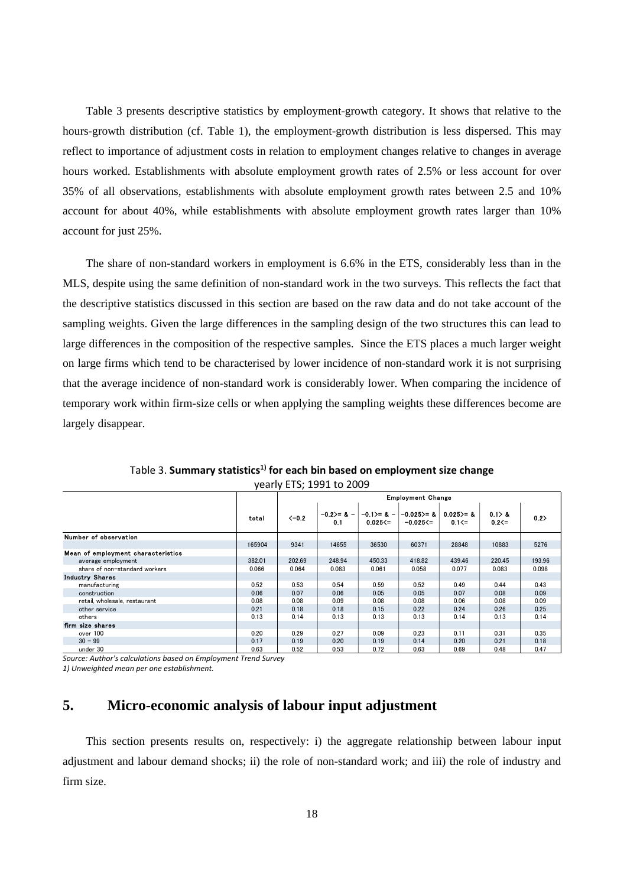Table 3 presents descriptive statistics by employment-growth category. It shows that relative to the hours-growth distribution (cf. Table 1), the employment-growth distribution is less dispersed. This may reflect to importance of adjustment costs in relation to employment changes relative to changes in average hours worked. Establishments with absolute employment growth rates of 2.5% or less account for over 35% of all observations, establishments with absolute employment growth rates between 2.5 and 10% account for about 40%, while establishments with absolute employment growth rates larger than 10% account for just 25%.

The share of non-standard workers in employment is 6.6% in the ETS, considerably less than in the MLS, despite using the same definition of non-standard work in the two surveys. This reflects the fact that the descriptive statistics discussed in this section are based on the raw data and do not take account of the sampling weights. Given the large differences in the sampling design of the two structures this can lead to large differences in the composition of the respective samples. Since the ETS places a much larger weight on large firms which tend to be characterised by lower incidence of non-standard work it is not surprising that the average incidence of non-standard work is considerably lower. When comparing the incidence of temporary work within firm-size cells or when applying the sampling weights these differences become are largely disappear.

|                                    |        | <b>Employment Change</b> |                       |                                  |                                  |                         |                 |        |  |  |  |  |
|------------------------------------|--------|--------------------------|-----------------------|----------------------------------|----------------------------------|-------------------------|-----------------|--------|--|--|--|--|
|                                    | total  | $<-0.2$                  | $-0.2$ ) = & -<br>0.1 | $-0.1$ ) = & -<br>$0.025 \leq -$ | 1-0.025>= &  <br>$-0.025 \leq -$ | $0.025 = 8$<br>$0.15 =$ | $0.1$ &<br>0.2< | 0.2    |  |  |  |  |
| Number of observation              |        |                          |                       |                                  |                                  |                         |                 |        |  |  |  |  |
|                                    | 165904 | 9341                     | 14655                 | 36530                            | 60371                            | 28848                   | 10883           | 5276   |  |  |  |  |
| Mean of employment characteristics |        |                          |                       |                                  |                                  |                         |                 |        |  |  |  |  |
| average employment                 | 382.01 | 202.69                   | 248.94                | 450.33                           | 418.82                           | 439.46                  | 220.45          | 193.96 |  |  |  |  |
| share of non-standard workers      | 0.066  | 0.064                    | 0.083                 | 0.061                            | 0.058                            | 0.077                   | 0.083           | 0.098  |  |  |  |  |
| <b>Industry Shares</b>             |        |                          |                       |                                  |                                  |                         |                 |        |  |  |  |  |
| manufacturing                      | 0.52   | 0.53                     | 0.54                  | 0.59                             | 0.52                             | 0.49                    | 0.44            | 0.43   |  |  |  |  |
| construction                       | 0.06   | 0.07                     | 0.06                  | 0.05                             | 0.05                             | 0.07                    | 0.08            | 0.09   |  |  |  |  |
| retail, wholesale, restaurant      | 0.08   | 0.08                     | 0.09                  | 0.08                             | 0.08                             | 0.06                    | 0.08            | 0.09   |  |  |  |  |
| other service                      | 0.21   | 0.18                     | 0.18                  | 0.15                             | 0.22                             | 0.24                    | 0.26            | 0.25   |  |  |  |  |
| others                             | 0.13   | 0.14                     | 0.13                  | 0.13                             | 0.13                             | 0.14                    | 0.13            | 0.14   |  |  |  |  |
| firm size shares                   |        |                          |                       |                                  |                                  |                         |                 |        |  |  |  |  |
| over 100                           | 0.20   | 0.29                     | 0.27                  | 0.09                             | 0.23                             | 0.11                    | 0.31            | 0.35   |  |  |  |  |
| $30 - 99$                          | 0.17   | 0.19                     | 0.20                  | 0.19                             | 0.14                             | 0.20                    | 0.21            | 0.18   |  |  |  |  |
| under 30                           | 0.63   | 0.52                     | 0.53                  | 0.72                             | 0.63                             | 0.69                    | 0.48            | 0.47   |  |  |  |  |

Table 3. Summary statistics<sup>1)</sup> for each bin based on employment size change yearly ETS; 1991 to 2009

*Source: Author's calculations based on Employment Trend Survey*

*1) Unweighted mean per one establishment.*

## **5. Micro-economic analysis of labour input adjustment**

This section presents results on, respectively: i) the aggregate relationship between labour input adjustment and labour demand shocks; ii) the role of non-standard work; and iii) the role of industry and firm size.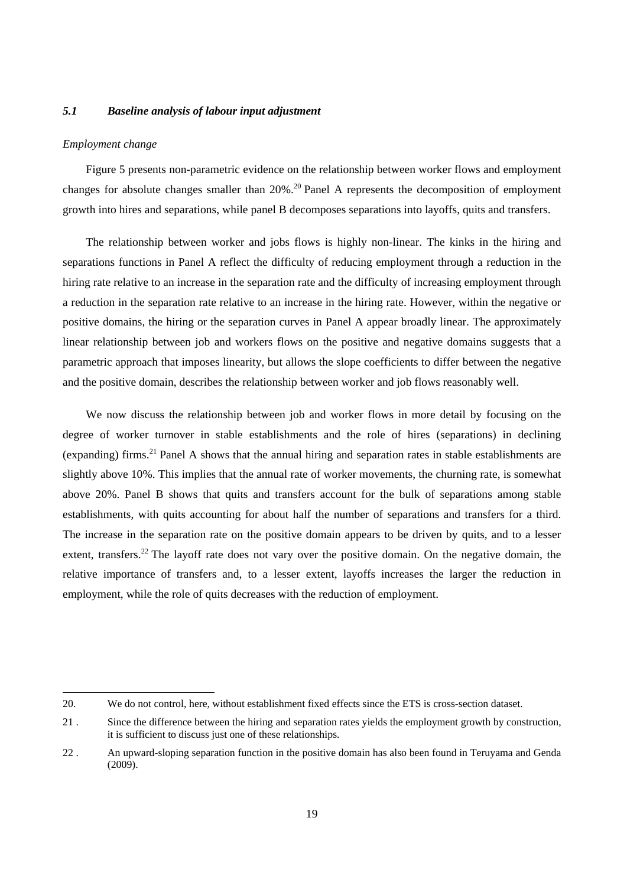### *5.1 Baseline analysis of labour input adjustment*

#### *Employment change*

1

Figure 5 presents non-parametric evidence on the relationship between worker flows and employment changes for absolute changes smaller than 20%.<sup>20</sup> Panel A represents the decomposition of employment growth into hires and separations, while panel B decomposes separations into layoffs, quits and transfers.

The relationship between worker and jobs flows is highly non-linear. The kinks in the hiring and separations functions in Panel A reflect the difficulty of reducing employment through a reduction in the hiring rate relative to an increase in the separation rate and the difficulty of increasing employment through a reduction in the separation rate relative to an increase in the hiring rate. However, within the negative or positive domains, the hiring or the separation curves in Panel A appear broadly linear. The approximately linear relationship between job and workers flows on the positive and negative domains suggests that a parametric approach that imposes linearity, but allows the slope coefficients to differ between the negative and the positive domain, describes the relationship between worker and job flows reasonably well.

We now discuss the relationship between job and worker flows in more detail by focusing on the degree of worker turnover in stable establishments and the role of hires (separations) in declining (expanding) firms.21 Panel A shows that the annual hiring and separation rates in stable establishments are slightly above 10%. This implies that the annual rate of worker movements, the churning rate, is somewhat above 20%. Panel B shows that quits and transfers account for the bulk of separations among stable establishments, with quits accounting for about half the number of separations and transfers for a third. The increase in the separation rate on the positive domain appears to be driven by quits, and to a lesser extent, transfers.<sup>22</sup> The layoff rate does not vary over the positive domain. On the negative domain, the relative importance of transfers and, to a lesser extent, layoffs increases the larger the reduction in employment, while the role of quits decreases with the reduction of employment.

<sup>20.</sup> We do not control, here, without establishment fixed effects since the ETS is cross-section dataset.

<sup>21 .</sup> Since the difference between the hiring and separation rates yields the employment growth by construction, it is sufficient to discuss just one of these relationships.

<sup>22 .</sup> An upward-sloping separation function in the positive domain has also been found in Teruyama and Genda (2009).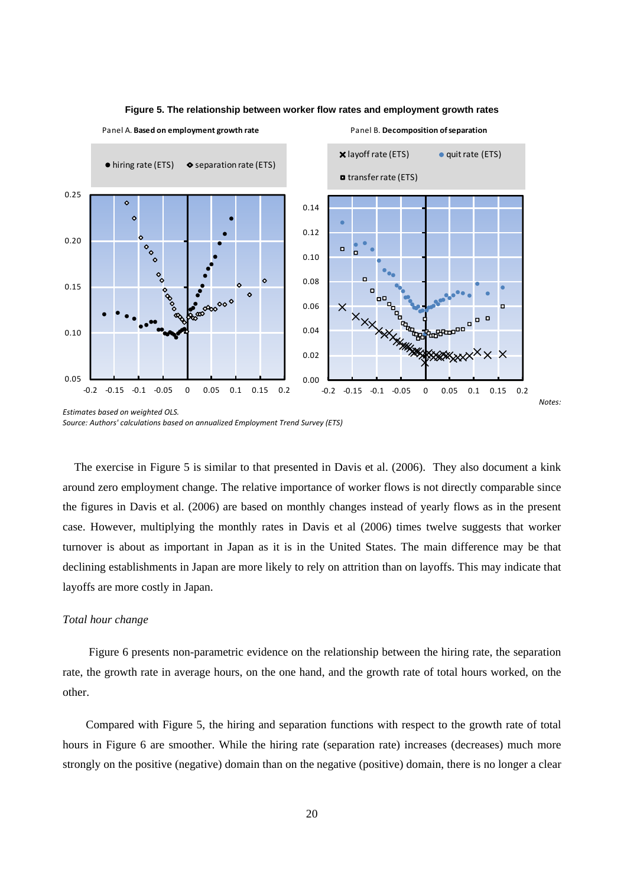

#### **Figure 5. The relationship between worker flow rates and employment growth rates**

Panel B. **Decomposition ofseparation**

*Source: Authors' calculations based on annualized Employment Trend Survey (ETS)*

Panel A. **Based on employment growth rate**

The exercise in Figure 5 is similar to that presented in Davis et al. (2006). They also document a kink around zero employment change. The relative importance of worker flows is not directly comparable since the figures in Davis et al. (2006) are based on monthly changes instead of yearly flows as in the present case. However, multiplying the monthly rates in Davis et al (2006) times twelve suggests that worker turnover is about as important in Japan as it is in the United States. The main difference may be that declining establishments in Japan are more likely to rely on attrition than on layoffs. This may indicate that layoffs are more costly in Japan.

#### *Total hour change*

 Figure 6 presents non-parametric evidence on the relationship between the hiring rate, the separation rate, the growth rate in average hours, on the one hand, and the growth rate of total hours worked, on the other.

Compared with Figure 5, the hiring and separation functions with respect to the growth rate of total hours in Figure 6 are smoother. While the hiring rate (separation rate) increases (decreases) much more strongly on the positive (negative) domain than on the negative (positive) domain, there is no longer a clear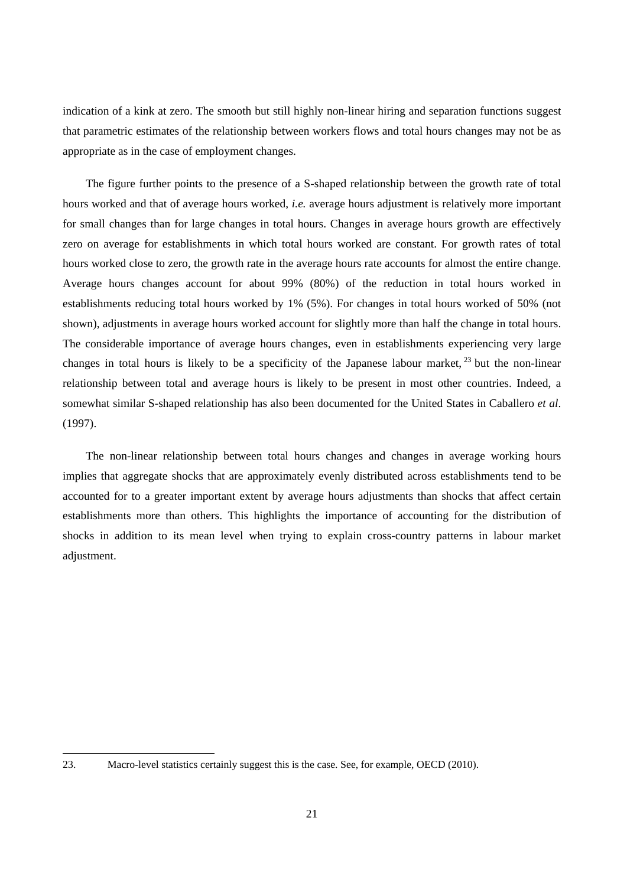indication of a kink at zero. The smooth but still highly non-linear hiring and separation functions suggest that parametric estimates of the relationship between workers flows and total hours changes may not be as appropriate as in the case of employment changes.

The figure further points to the presence of a S-shaped relationship between the growth rate of total hours worked and that of average hours worked, *i.e.* average hours adjustment is relatively more important for small changes than for large changes in total hours. Changes in average hours growth are effectively zero on average for establishments in which total hours worked are constant. For growth rates of total hours worked close to zero, the growth rate in the average hours rate accounts for almost the entire change. Average hours changes account for about 99% (80%) of the reduction in total hours worked in establishments reducing total hours worked by 1% (5%). For changes in total hours worked of 50% (not shown), adjustments in average hours worked account for slightly more than half the change in total hours. The considerable importance of average hours changes, even in establishments experiencing very large changes in total hours is likely to be a specificity of the Japanese labour market, <sup>23</sup> but the non-linear relationship between total and average hours is likely to be present in most other countries. Indeed, a somewhat similar S-shaped relationship has also been documented for the United States in Caballero *et al*. (1997).

The non-linear relationship between total hours changes and changes in average working hours implies that aggregate shocks that are approximately evenly distributed across establishments tend to be accounted for to a greater important extent by average hours adjustments than shocks that affect certain establishments more than others. This highlights the importance of accounting for the distribution of shocks in addition to its mean level when trying to explain cross-country patterns in labour market adjustment.

<sup>23.</sup> Macro-level statistics certainly suggest this is the case. See, for example, OECD (2010).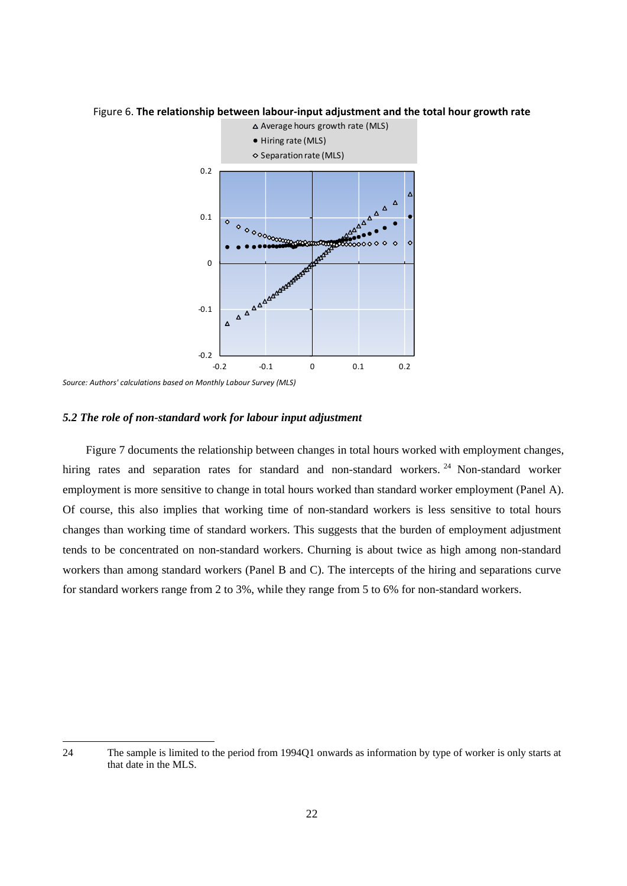

Figure 6. **The relationship between labour‐input adjustment and the total hour growth rate**

*Source: Authors' calculations based on Monthly Labour Survey (MLS)*

#### *5.2 The role of non-standard work for labour input adjustment*

Figure 7 documents the relationship between changes in total hours worked with employment changes, hiring rates and separation rates for standard and non-standard workers.<sup>24</sup> Non-standard worker employment is more sensitive to change in total hours worked than standard worker employment (Panel A). Of course, this also implies that working time of non-standard workers is less sensitive to total hours changes than working time of standard workers. This suggests that the burden of employment adjustment tends to be concentrated on non-standard workers. Churning is about twice as high among non-standard workers than among standard workers (Panel B and C). The intercepts of the hiring and separations curve for standard workers range from 2 to 3%, while they range from 5 to 6% for non-standard workers.

<sup>24</sup> The sample is limited to the period from 1994Q1 onwards as information by type of worker is only starts at that date in the MLS.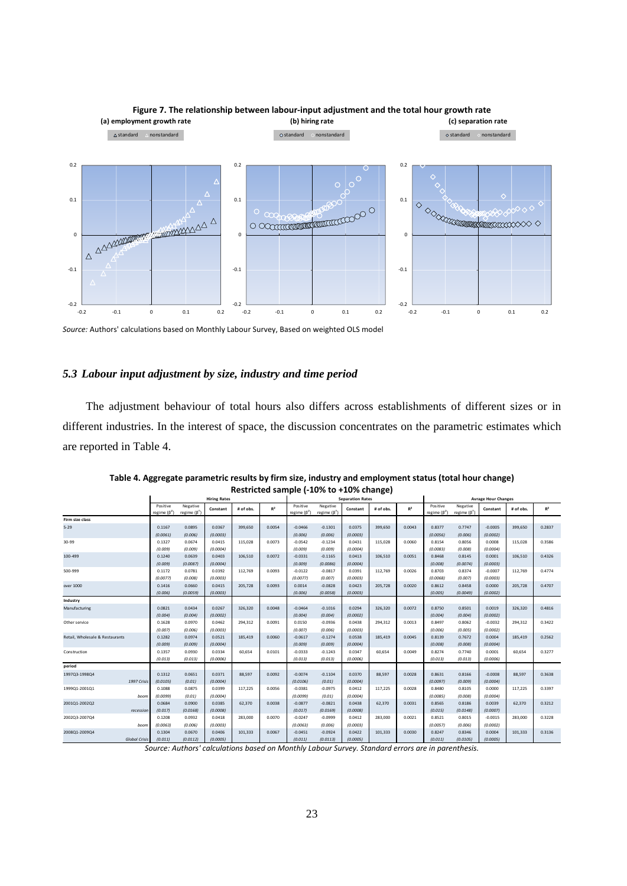



*Source:* Authors' calculations based on Monthly Labour Survey, Based on weighted OLS model

### *5.3 Labour input adjustment by size, industry and time period*

The adjustment behaviour of total hours also differs across establishments of different sizes or in different industries. In the interest of space, the discussion concentrates on the parametric estimates which are reported in Table 4.

|                                 | <b>Hiring Rates</b>            |                                |          |           | <b>Separation Rates</b> |                                |                                |          | <b>Avrage Hour Changes</b> |                |                                |                                |           |           |                |
|---------------------------------|--------------------------------|--------------------------------|----------|-----------|-------------------------|--------------------------------|--------------------------------|----------|----------------------------|----------------|--------------------------------|--------------------------------|-----------|-----------|----------------|
|                                 | Positive<br>regime $(\beta^p)$ | Negative<br>regime $(\beta^n)$ | Constant | # of obs. | $R^2$                   | Positive<br>regime $(\beta^p)$ | Negative<br>regime $(\beta^n)$ | Constant | # of obs.                  | R <sup>2</sup> | Positive<br>regime $(\beta^p)$ | Negative<br>regime $(\beta^n)$ | Constant  | # of obs. | R <sup>2</sup> |
| Firm size class                 |                                |                                |          |           |                         |                                |                                |          |                            |                |                                |                                |           |           |                |
| $5 - 29$                        | 0.1167                         | 0.0895                         | 0.0367   | 399.650   | 0.0054                  | $-0.0466$                      | $-0.1301$                      | 0.0375   | 399,650                    | 0.0043         | 0.8377                         | 0.7747                         | $-0.0005$ | 399,650   | 0.2837         |
|                                 | (0.0061)                       | (0.006)                        | (0.0003) |           |                         | (0.006)                        | (0.006)                        | (0.0003) |                            |                | (0.0056)                       | (0.006)                        | (0.0002)  |           |                |
| 30-99                           | 0.1327                         | 0.0674                         | 0.0415   | 115,028   | 0.0073                  | $-0.0542$                      | $-0.1234$                      | 0.0431   | 115,028                    | 0.0060         | 0.8154                         | 0.8056                         | 0.0008    | 115,028   | 0.3586         |
|                                 | (0.009)                        | (0.009)                        | (0.0004) |           |                         | (0.009)                        | (0.009)                        | (0.0004) |                            |                | (0.0083)                       | (0.008)                        | (0.0004)  |           |                |
| 100-499                         | 0.1240                         | 0.0639                         | 0.0403   | 106,510   | 0.0072                  | $-0.0331$                      | $-0.1165$                      | 0.0413   | 106,510                    | 0.0051         | 0.8468                         | 0.8145                         | 0.0001    | 106,510   | 0.4326         |
|                                 | (0.009)                        | (0.0087)                       | (0.0004) |           |                         | (0.009)                        | (0.0086)                       | (0.0004) |                            |                | (0.008)                        | (0.0074)                       | (0.0003)  |           |                |
| 500-999                         | 0.1172                         | 0.0781                         | 0.0392   | 112,769   | 0.0093                  | $-0.0122$                      | $-0.0817$                      | 0.0391   | 112,769                    | 0.0026         | 0.8703                         | 0.8374                         | $-0.0007$ | 112,769   | 0.4774         |
|                                 | (0.0077)                       | (0.008)                        | (0.0003) |           |                         | (0.0077)                       | (0.007)                        | (0.0003) |                            |                | (0.0068)                       | (0.007)                        | (0.0003)  |           |                |
| over 1000                       | 0.1416                         | 0.0660                         | 0.0415   | 205,728   | 0.0093                  | 0.0014                         | $-0.0828$                      | 0.0423   | 205,728                    | 0.0020         | 0.8612                         | 0.8458                         | 0.0000    | 205,728   | 0.4707         |
|                                 | (0.006)                        | (0.0059)                       | (0.0003) |           |                         | (0.006)                        | (0.0058)                       | (0.0003) |                            |                | (0.005)                        | (0.0049)                       | (0.0002)  |           |                |
| Industry                        |                                |                                |          |           |                         |                                |                                |          |                            |                |                                |                                |           |           |                |
| Manufacturing                   | 0.0821                         | 0.0434                         | 0.0267   | 326,320   | 0.0048                  | $-0.0464$                      | $-0.1016$                      | 0.0294   | 326.320                    | 0.0072         | 0.8750                         | 0.8501                         | 0.0019    | 326.320   | 0.4816         |
|                                 | (0.004)                        | (0.004)                        | (0.0002) |           |                         | (0.004)                        | (0.004)                        | (0.0002) |                            |                | (0.004)                        | (0.004)                        | (0.0002)  |           |                |
| Other service                   | 0.1628                         | 0.0970                         | 0.0462   | 294,312   | 0.0091                  | 0.0150                         | $-0.0936$                      | 0.0438   | 294,312                    | 0.0013         | 0.8497                         | 0.8062                         | $-0.0032$ | 294,312   | 0.3422         |
|                                 | (0.007)                        | (0.006)                        | (0.0003) |           |                         | (0.007)                        | (0.006)                        | (0.0003) |                            |                | (0.006)                        | (0.005)                        | (0.0002)  |           |                |
| Retail, Wholesale & Restaurants | 0.1282                         | 0.0974                         | 0.0521   | 185,419   | 0.0060                  | $-0.0617$                      | $-0.1274$                      | 0.0538   | 185,419                    | 0.0045         | 0.8139                         | 0.7672                         | 0.0004    | 185,419   | 0.2562         |
|                                 | (0.009)                        | (0.009)                        | (0.0004) |           |                         | (0.009)                        | (0.009)                        | (0.0004) |                            |                | (0.008)                        | (0.008)                        | (0.0004)  |           |                |
| Construction                    | 0.1357                         | 0.0930                         | 0.0334   | 60,654    | 0.0101                  | $-0.0333$                      | $-0.1243$                      | 0.0347   | 60,654                     | 0.0049         | 0.8274                         | 0.7740                         | 0.0001    | 60.654    | 0.3277         |
|                                 | (0.013)                        | (0.013)                        | (0.0006) |           |                         | (0.013)                        | (0.013)                        | (0.0006) |                            |                | (0.013)                        | (0.013)                        | (0.0006)  |           |                |
| period                          |                                |                                |          |           |                         |                                |                                |          |                            |                |                                |                                |           |           |                |
| 1997Q3-1998Q4                   | 0.1312                         | 0.0651                         | 0.0371   | 88.597    | 0.0092                  | $-0.0074$                      | $-0.1104$                      | 0.0370   | 88,597                     | 0.0028         | 0.8631                         | 0.8166                         | $-0.0008$ | 88.597    | 0.3638         |
| 1997 Crisis                     | (0.0105)                       | (0.01)                         | (0.0004) |           |                         | (0.0106)                       | (0.01)                         | (0.0004) |                            |                | (0.0097)                       | (0.009)                        | (0.0004)  |           |                |
| 1999Q1-2001Q1                   | 0.1088                         | 0.0875                         | 0.0399   | 117,225   | 0.0056                  | $-0.0381$                      | $-0.0975$                      | 0.0412   | 117,225                    | 0.0028         | 0.8480                         | 0.8105                         | 0.0000    | 117.225   | 0.3397         |
| boom                            | (0.0099)                       | (0.01)                         | (0.0004) |           |                         | (0.0099)                       | (0.01)                         | (0.0004) |                            |                | (0.0085)                       | (0.008)                        | (0.0004)  |           |                |
| 2001Q1-2002Q2                   | 0.0684                         | 0.0900                         | 0.0385   | 62.370    | 0.0038                  | $-0.0877$                      | $-0.0821$                      | 0.0438   | 62,370                     | 0.0031         | 0.8565                         | 0.8186                         | 0.0039    | 62,370    | 0.3212         |
| recession                       | (0.017)                        | (0.0168)                       | (0.0008) |           |                         | (0.017)                        | (0.0169)                       | (0.0008) |                            |                | (0.015)                        | (0.0148)                       | (0.0007)  |           |                |
| 2002Q3-2007Q4                   | 0.1208                         | 0.0932                         | 0.0418   | 283,000   | 0.0070                  | $-0.0247$                      | $-0.0999$                      | 0.0412   | 283,000                    | 0.0021         | 0.8521                         | 0.8015                         | $-0.0015$ | 283,000   | 0.3228         |
| boom                            | (0.0063)                       | (0.006)                        | (0.0003) |           |                         | (0.0063)                       | (0.006)                        | (0.0003) |                            |                | (0.0057)                       | (0.006)                        | (0.0002)  |           |                |
| 2008Q1-2009Q4                   | 0.1304                         | 0.0670                         | 0.0406   | 101,333   | 0.0067                  | $-0.0451$                      | $-0.0924$                      | 0.0422   | 101,333                    | 0.0030         | 0.8247                         | 0.8346                         | 0.0004    | 101,333   | 0.3136         |
| <b>Global Crisis</b>            | (0.011)                        | (0.0112)                       | (0.0005) |           |                         | (0.011)                        | (0.0113)                       | (0.0005) |                            |                | (0.011)                        | (0.0105)                       | (0.0005)  |           |                |

**Table 4. Aggregate parametric results by firm size, industry and employment status (total hour change) Restricted sample (‐10% to +10% change)**

*Source: Authors' calculations based on Monthly Labour Survey. Standard errors are in parenthesis.*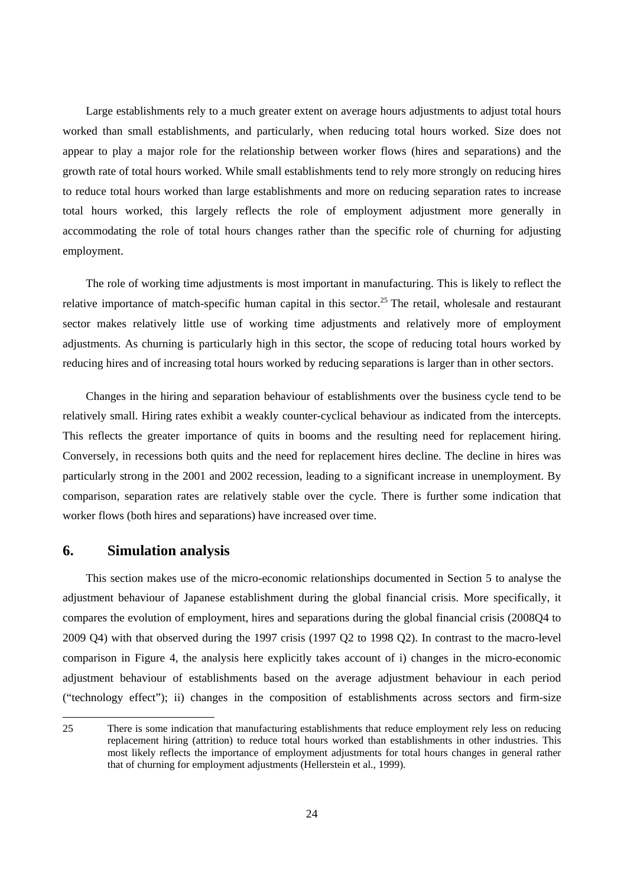Large establishments rely to a much greater extent on average hours adjustments to adjust total hours worked than small establishments, and particularly, when reducing total hours worked. Size does not appear to play a major role for the relationship between worker flows (hires and separations) and the growth rate of total hours worked. While small establishments tend to rely more strongly on reducing hires to reduce total hours worked than large establishments and more on reducing separation rates to increase total hours worked, this largely reflects the role of employment adjustment more generally in accommodating the role of total hours changes rather than the specific role of churning for adjusting employment.

The role of working time adjustments is most important in manufacturing. This is likely to reflect the relative importance of match-specific human capital in this sector.<sup>25</sup> The retail, wholesale and restaurant sector makes relatively little use of working time adjustments and relatively more of employment adjustments. As churning is particularly high in this sector, the scope of reducing total hours worked by reducing hires and of increasing total hours worked by reducing separations is larger than in other sectors.

Changes in the hiring and separation behaviour of establishments over the business cycle tend to be relatively small. Hiring rates exhibit a weakly counter-cyclical behaviour as indicated from the intercepts. This reflects the greater importance of quits in booms and the resulting need for replacement hiring. Conversely, in recessions both quits and the need for replacement hires decline. The decline in hires was particularly strong in the 2001 and 2002 recession, leading to a significant increase in unemployment. By comparison, separation rates are relatively stable over the cycle. There is further some indication that worker flows (both hires and separations) have increased over time.

### **6. Simulation analysis**

1

This section makes use of the micro-economic relationships documented in Section 5 to analyse the adjustment behaviour of Japanese establishment during the global financial crisis. More specifically, it compares the evolution of employment, hires and separations during the global financial crisis (2008Q4 to 2009 Q4) with that observed during the 1997 crisis (1997 Q2 to 1998 Q2). In contrast to the macro-level comparison in Figure 4, the analysis here explicitly takes account of i) changes in the micro-economic adjustment behaviour of establishments based on the average adjustment behaviour in each period ("technology effect"); ii) changes in the composition of establishments across sectors and firm-size

<sup>25</sup> There is some indication that manufacturing establishments that reduce employment rely less on reducing replacement hiring (attrition) to reduce total hours worked than establishments in other industries. This most likely reflects the importance of employment adjustments for total hours changes in general rather that of churning for employment adjustments (Hellerstein et al., 1999).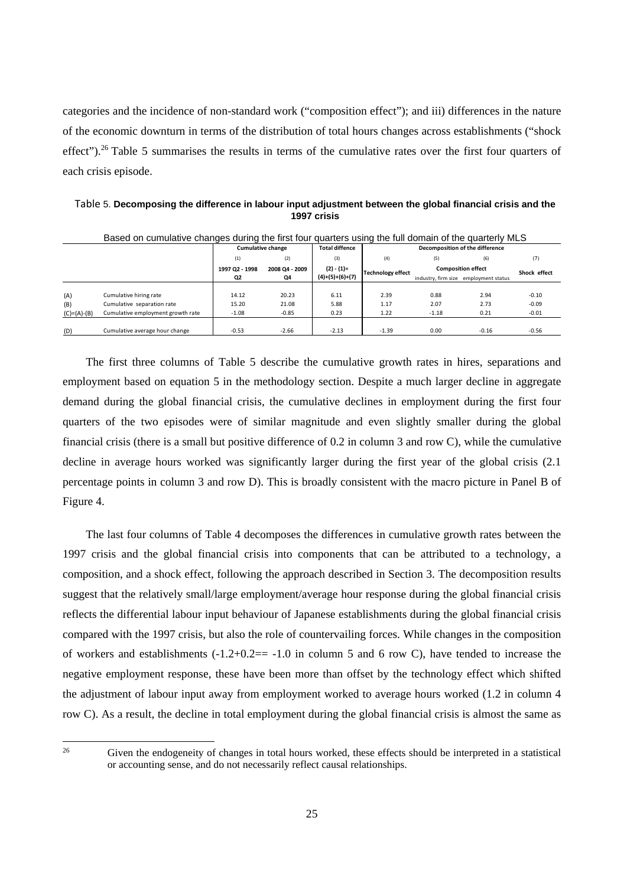categories and the incidence of non-standard work ("composition effect"); and iii) differences in the nature of the economic downturn in terms of the distribution of total hours changes across establishments ("shock effect").<sup>26</sup> Table 5 summarises the results in terms of the cumulative rates over the first four quarters of each crisis episode.

Table 5. **Decomposing the difference in labour input adjustment between the global financial crisis and the 1997 crisis** 

|               |                                   |                                  | <b>Cumulative change</b> | <b>Total diffence</b> | Decomposition of the difference |                           |                                       |         |  |  |  |
|---------------|-----------------------------------|----------------------------------|--------------------------|-----------------------|---------------------------------|---------------------------|---------------------------------------|---------|--|--|--|
|               |                                   | (1)                              | (2)                      | (3)                   | (4)                             | (5)                       | (6)                                   |         |  |  |  |
|               |                                   | 1997 Q2 - 1998<br>2008 Q4 - 2009 |                          | $(2) - (1) =$         | Technology effect               | <b>Composition effect</b> | Shock effect                          |         |  |  |  |
|               |                                   | Q2                               | Q4                       | $(4)+(5)+(6)+(7)$     |                                 |                           | industry, firm size employment status |         |  |  |  |
|               |                                   |                                  |                          |                       |                                 |                           |                                       |         |  |  |  |
| (A)           | Cumulative hiring rate            | 14.12                            | 20.23                    | 6.11                  | 2.39                            | 0.88                      | 2.94                                  | $-0.10$ |  |  |  |
| (B)           | Cumulative separation rate        | 15.20                            | 21.08                    | 5.88                  | 1.17                            | 2.07                      | 2.73                                  | $-0.09$ |  |  |  |
| $(C)=(A)-(B)$ | Cumulative employment growth rate | $-1.08$                          | $-0.85$                  | 0.23                  | 1.22                            | $-1.18$                   | 0.21                                  | $-0.01$ |  |  |  |
|               |                                   |                                  |                          |                       |                                 |                           |                                       |         |  |  |  |
| (D)           | Cumulative average hour change    | $-0.53$                          | $-2.66$                  | $-2.13$               | $-1.39$                         | 0.00                      | $-0.16$                               | $-0.56$ |  |  |  |

Based on cumulative changes during the first four quarters using the full domain of the quarterly MLS

The first three columns of Table 5 describe the cumulative growth rates in hires, separations and employment based on equation 5 in the methodology section. Despite a much larger decline in aggregate demand during the global financial crisis, the cumulative declines in employment during the first four quarters of the two episodes were of similar magnitude and even slightly smaller during the global financial crisis (there is a small but positive difference of 0.2 in column 3 and row C), while the cumulative decline in average hours worked was significantly larger during the first year of the global crisis (2.1 percentage points in column 3 and row D). This is broadly consistent with the macro picture in Panel B of Figure 4.

The last four columns of Table 4 decomposes the differences in cumulative growth rates between the 1997 crisis and the global financial crisis into components that can be attributed to a technology, a composition, and a shock effect, following the approach described in Section 3. The decomposition results suggest that the relatively small/large employment/average hour response during the global financial crisis reflects the differential labour input behaviour of Japanese establishments during the global financial crisis compared with the 1997 crisis, but also the role of countervailing forces. While changes in the composition of workers and establishments  $(-1.2+0.2== -1.0$  in column 5 and 6 row C), have tended to increase the negative employment response, these have been more than offset by the technology effect which shifted the adjustment of labour input away from employment worked to average hours worked (1.2 in column 4 row C). As a result, the decline in total employment during the global financial crisis is almost the same as

<sup>&</sup>lt;sup>26</sup> Given the endogeneity of changes in total hours worked, these effects should be interpreted in a statistical or accounting sense, and do not necessarily reflect causal relationships.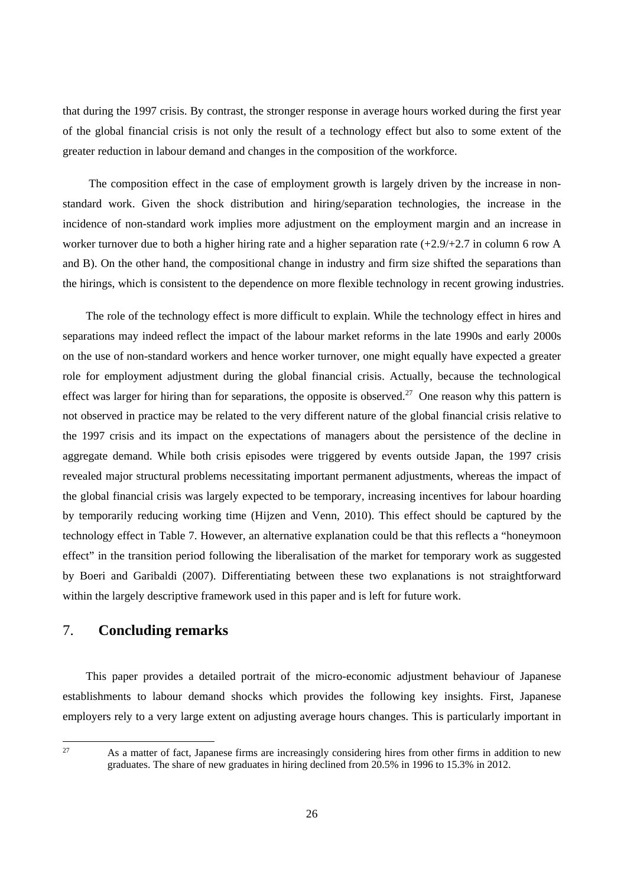that during the 1997 crisis. By contrast, the stronger response in average hours worked during the first year of the global financial crisis is not only the result of a technology effect but also to some extent of the greater reduction in labour demand and changes in the composition of the workforce.

 The composition effect in the case of employment growth is largely driven by the increase in nonstandard work. Given the shock distribution and hiring/separation technologies, the increase in the incidence of non-standard work implies more adjustment on the employment margin and an increase in worker turnover due to both a higher hiring rate and a higher separation rate  $(+2.9/+2.7)$  in column 6 row A and B). On the other hand, the compositional change in industry and firm size shifted the separations than the hirings, which is consistent to the dependence on more flexible technology in recent growing industries.

The role of the technology effect is more difficult to explain. While the technology effect in hires and separations may indeed reflect the impact of the labour market reforms in the late 1990s and early 2000s on the use of non-standard workers and hence worker turnover, one might equally have expected a greater role for employment adjustment during the global financial crisis. Actually, because the technological effect was larger for hiring than for separations, the opposite is observed.<sup>27</sup> One reason why this pattern is not observed in practice may be related to the very different nature of the global financial crisis relative to the 1997 crisis and its impact on the expectations of managers about the persistence of the decline in aggregate demand. While both crisis episodes were triggered by events outside Japan, the 1997 crisis revealed major structural problems necessitating important permanent adjustments, whereas the impact of the global financial crisis was largely expected to be temporary, increasing incentives for labour hoarding by temporarily reducing working time (Hijzen and Venn, 2010). This effect should be captured by the technology effect in Table 7. However, an alternative explanation could be that this reflects a "honeymoon effect" in the transition period following the liberalisation of the market for temporary work as suggested by Boeri and Garibaldi (2007). Differentiating between these two explanations is not straightforward within the largely descriptive framework used in this paper and is left for future work.

## 7. **Concluding remarks**

This paper provides a detailed portrait of the micro-economic adjustment behaviour of Japanese establishments to labour demand shocks which provides the following key insights. First, Japanese employers rely to a very large extent on adjusting average hours changes. This is particularly important in

As a matter of fact, Japanese firms are increasingly considering hires from other firms in addition to new graduates. The share of new graduates in hiring declined from 20.5% in 1996 to 15.3% in 2012.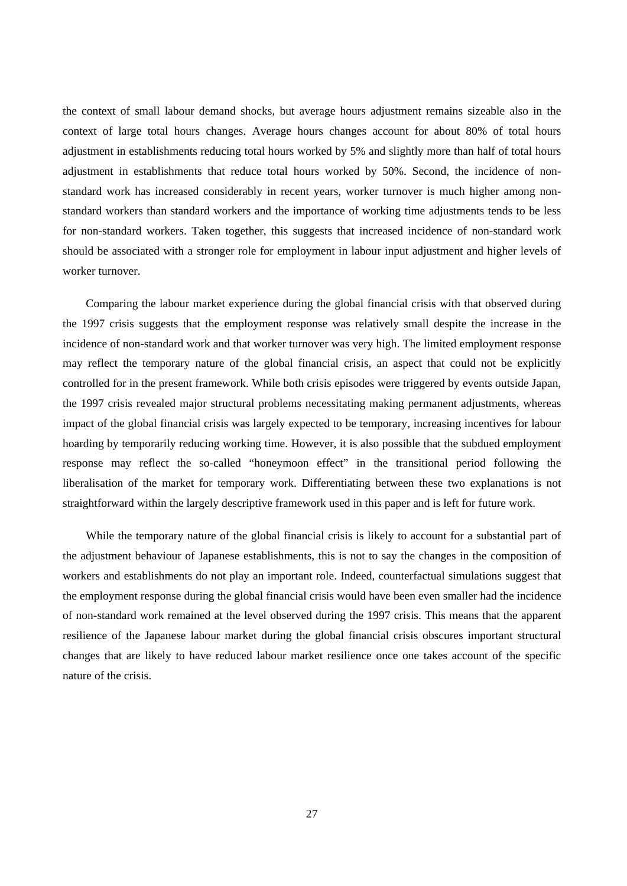the context of small labour demand shocks, but average hours adjustment remains sizeable also in the context of large total hours changes. Average hours changes account for about 80% of total hours adjustment in establishments reducing total hours worked by 5% and slightly more than half of total hours adjustment in establishments that reduce total hours worked by 50%. Second, the incidence of nonstandard work has increased considerably in recent years, worker turnover is much higher among nonstandard workers than standard workers and the importance of working time adjustments tends to be less for non-standard workers. Taken together, this suggests that increased incidence of non-standard work should be associated with a stronger role for employment in labour input adjustment and higher levels of worker turnover.

Comparing the labour market experience during the global financial crisis with that observed during the 1997 crisis suggests that the employment response was relatively small despite the increase in the incidence of non-standard work and that worker turnover was very high. The limited employment response may reflect the temporary nature of the global financial crisis, an aspect that could not be explicitly controlled for in the present framework. While both crisis episodes were triggered by events outside Japan, the 1997 crisis revealed major structural problems necessitating making permanent adjustments, whereas impact of the global financial crisis was largely expected to be temporary, increasing incentives for labour hoarding by temporarily reducing working time. However, it is also possible that the subdued employment response may reflect the so-called "honeymoon effect" in the transitional period following the liberalisation of the market for temporary work. Differentiating between these two explanations is not straightforward within the largely descriptive framework used in this paper and is left for future work.

While the temporary nature of the global financial crisis is likely to account for a substantial part of the adjustment behaviour of Japanese establishments, this is not to say the changes in the composition of workers and establishments do not play an important role. Indeed, counterfactual simulations suggest that the employment response during the global financial crisis would have been even smaller had the incidence of non-standard work remained at the level observed during the 1997 crisis. This means that the apparent resilience of the Japanese labour market during the global financial crisis obscures important structural changes that are likely to have reduced labour market resilience once one takes account of the specific nature of the crisis.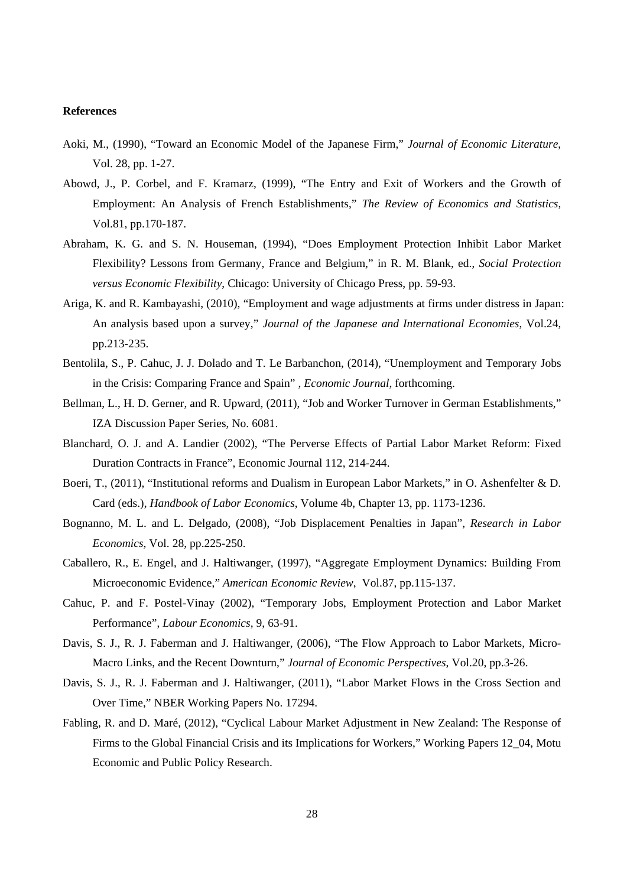#### **References**

- Aoki, M., (1990), "Toward an Economic Model of the Japanese Firm," *Journal of Economic Literature*, Vol. 28, pp. 1-27.
- Abowd, J., P. Corbel, and F. Kramarz, (1999), "The Entry and Exit of Workers and the Growth of Employment: An Analysis of French Establishments," *The Review of Economics and Statistics*, Vol.81, pp.170-187.
- Abraham, K. G. and S. N. Houseman, (1994), "Does Employment Protection Inhibit Labor Market Flexibility? Lessons from Germany, France and Belgium," in R. M. Blank, ed., *Social Protection versus Economic Flexibility*, Chicago: University of Chicago Press, pp. 59-93.
- Ariga, K. and R. Kambayashi, (2010), "Employment and wage adjustments at firms under distress in Japan: An analysis based upon a survey," *Journal of the Japanese and International Economies*, Vol.24, pp.213-235.
- Bentolila, S., P. Cahuc, J. J. Dolado and T. Le Barbanchon, (2014), "Unemployment and Temporary Jobs in the Crisis: Comparing France and Spain" , *Economic Journal*, forthcoming.
- Bellman, L., H. D. Gerner, and R. Upward, (2011), "Job and Worker Turnover in German Establishments," IZA Discussion Paper Series, No. 6081.
- Blanchard, O. J. and A. Landier (2002), "The Perverse Effects of Partial Labor Market Reform: Fixed Duration Contracts in France", Economic Journal 112, 214-244.
- Boeri, T., (2011), "Institutional reforms and Dualism in European Labor Markets," in O. Ashenfelter & D. Card (eds.), *Handbook of Labor Economics*, Volume 4b, Chapter 13, pp. 1173-1236.
- Bognanno, M. L. and L. Delgado, (2008), "Job Displacement Penalties in Japan", *Research in Labor Economics*, Vol. 28, pp.225-250.
- Caballero, R., E. Engel, and J. Haltiwanger, (1997), "Aggregate Employment Dynamics: Building From Microeconomic Evidence," *American Economic Review*, Vol.87, pp.115-137.
- Cahuc, P. and F. Postel-Vinay (2002), "Temporary Jobs, Employment Protection and Labor Market Performance", *Labour Economics,* 9, 63-91.
- Davis, S. J., R. J. Faberman and J. Haltiwanger, (2006), "The Flow Approach to Labor Markets, Micro-Macro Links, and the Recent Downturn," *Journal of Economic Perspectives*, Vol.20, pp.3-26.
- Davis, S. J., R. J. Faberman and J. Haltiwanger, (2011), "Labor Market Flows in the Cross Section and Over Time," NBER Working Papers No. 17294.
- Fabling, R. and D. Maré, (2012), "Cyclical Labour Market Adjustment in New Zealand: The Response of Firms to the Global Financial Crisis and its Implications for Workers," Working Papers 12\_04, Motu Economic and Public Policy Research.